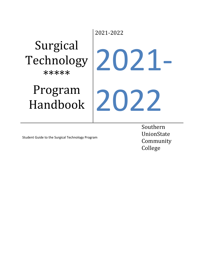# Surgical Technology \*\*\*\*\*

# Program Handbook

2021-2022 2021- 2022

Student Guide to the Surgical Technology Program

Southern UnionState Community College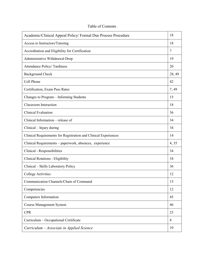| Academic/Clinical Appeal Policy/ Formal Due Process Procedure   | 18             |
|-----------------------------------------------------------------|----------------|
| Access to Instructors/Tutoring                                  | 18             |
| Accreditation and Eligibility for Certification                 | $\overline{7}$ |
| Administrative Withdrawal Drop                                  | 19             |
| Attendance Policy/Tardiness                                     | 20             |
| <b>Background Check</b>                                         | 28, 49         |
| Cell Phone                                                      | 42             |
| Certification, Exam Pass Rates                                  | 7,49           |
| Changes to Program - Informing Students                         | 15             |
| <b>Classroom</b> Interaction                                    | 18             |
| <b>Clinical Evaluation</b>                                      | 36             |
| Clinical Information – release of                               | 34             |
| Clinical – Injury during                                        | 34             |
| Clinical Requirements for Registration and Clinical Experiences | 14             |
| Clinical Requirements - paperwork, absences, experience         | 4,35           |
| Clinical - Responsibilities                                     | 34             |
| Clinical Rotations - Eligibility                                | 34             |
| Clinical – Skills Laboratory Policy                             | 36             |
| <b>College Activities</b>                                       | 12             |
| Communication Channels/Chain of Command                         | 15             |
| Competencies                                                    | 12             |
| Computers Information                                           | 45             |
| <b>Course Management System</b>                                 | 46             |
| <b>CPR</b>                                                      | 23             |
| Curriculum - Occupational Certificate                           | 8              |
| Curriculum - Associate in Applied Science                       | 10             |

Table of Contents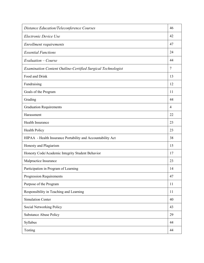| <b>Distance Education/Teleconference Courses</b>            | 46 |
|-------------------------------------------------------------|----|
| Electronic Device Use                                       | 42 |
| Enrollment requirements                                     | 47 |
| <b>Essential Functions</b>                                  | 24 |
| Evaluation – Course                                         | 44 |
| Examination Content Outline-Certified Surgical Technologist | 7  |
| Food and Drink                                              | 13 |
| Fundraising                                                 | 12 |
| Goals of the Program                                        | 11 |
| Grading                                                     | 44 |
| <b>Graduation Requirements</b>                              | 4  |
| Harassment                                                  | 22 |
| Health Insurance                                            | 23 |
| <b>Health Policy</b>                                        | 23 |
| HIPAA - Health Insurance Portability and Accountability Act | 38 |
| Honesty and Plagiarism                                      | 15 |
| Honesty Code/Academic Integrity Student Behavior            | 17 |
| Malpractice Insurance                                       | 23 |
| Participation in Program of Learning                        | 14 |
| <b>Progression Requirements</b>                             | 47 |
| Purpose of the Program                                      | 11 |
| Responsibility in Teaching and Learning                     | 11 |
| <b>Simulation Center</b>                                    | 40 |
| Social Networking Policy                                    | 43 |
| <b>Substance Abuse Policy</b>                               | 29 |
| Syllabus                                                    | 44 |
| Testing                                                     | 44 |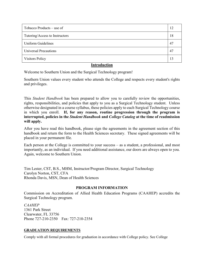| Tutoring/Access to Instructors<br>18<br>Uniform Guidelines<br>47<br><b>Universal Precautions</b><br>47 | Tobacco Products – use of | 12 |
|--------------------------------------------------------------------------------------------------------|---------------------------|----|
|                                                                                                        |                           |    |
|                                                                                                        |                           |    |
|                                                                                                        |                           |    |
|                                                                                                        | <b>Visitors Policy</b>    | 13 |

## **Introduction**

Welcome to Southern Union and the Surgical Technology program!

Southern Union values every student who attends the College and respects every student's rights and privileges.

This *Student Handbook* has been prepared to allow you to carefully review the opportunities, rights, responsibilities, and policies that apply to you as a Surgical Technology student. Unless otherwise designated in a course syllabus, these policies apply to each Surgical Technology course in which you enroll. **If, for any reason, routine progression through the program is interrupted, policies in the** *Student Handbook* **and** *College Catalog* **at the time of readmission will apply.**

After you have read this handbook, please sign the agreements in the agreement section of this handbook and return the form to the Health Sciences secretary. These signed agreements will be placed in your permanent file.

Each person at the College is committed to your success – as a student, a professional, and most importantly, as an individual. If you need additional assistance, our doors are always open to you. Again, welcome to Southern Union.

Tim Lester, CST, B.S., MHM, Instructor/Program Director, Surgical Technology Carolyn Norton, CST, CFA Rhonda Davis, MSN, Dean of Health Sciences

## **PROGRAM INFORMATION**

Commission on Accreditation of Allied Health Education Programs (CAAHEP) accredits the Surgical Technology program.

*CAAHEP* 1361 Park Street Clearwater, FL 33756 Phone 727-210-2350 Fax: 727-210-2354

#### **GRADUATION REQUIREMENTS**

Comply with all formal procedures for graduation in accordance with College policy. See College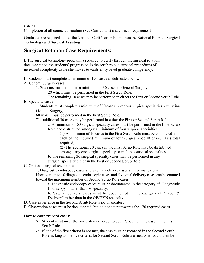Catalog.

Completion of all course curriculum (See Curriculum) and clinical requirements.

Graduates are required to take the National Certification Exam from the National Board of Surgical Technology and Surgical Assisting

# **Surgical Rotation Case Requirements:**

I. The surgical technology program is required to verify through the surgical rotation documentation the students' progression in the scrub role in surgical procedures of increased complexity as he/she moves towards entry-level graduate competency.

II. Students must complete a minimum of 120 cases as delineated below.

A. General Surgery cases

1. Students must complete a minimum of 30 cases in General Surgery;

20 which must be performed in the First Scrub Role.

The remaining 10 cases may be performed in either the First or Second Scrub Role.

B. Specialty cases

1. Students must complete a minimum of 90 cases in various surgical specialties, excluding General Surgery;

60 which must be performed in the First Scrub Role.

The additional 30 cases may be performed in either the First or Second Scrub Role.

a. A minimum of 60 surgical specialty cases must be performed in the First Scrub Role and distributed amongst a minimum of four surgical specialties.

(1) A minimum of 10 cases in the First Scrub Role must be completed in each of the required minimum of four surgical specialties (40 cases total required).

(2) The additional 20 cases in the First Scrub Role may be distributed amongst any one surgical specialty or multiple surgical specialties.

b. The remaining 30 surgical specialty cases may be performed in any surgical specialty either in the First or Second Scrub Role.

C. Optional surgical specialties

1. Diagnostic endoscopy cases and vaginal delivery cases are not mandatory.

However, up to 10 diagnostic endoscopic cases and 5 vaginal delivery cases can be counted toward the maximum number of Second Scrub Role cases.

a. Diagnostic endoscopy cases must be documented in the category of "Diagnostic Endoscopy", rather than by specialty.

b. Vaginal delivery cases must be documented in the category of "Labor & Delivery" rather than in the OB/GYN specialty.

D. Case experience in the Second Scrub Role is not mandatory.

E. Observation cases must be documented, but do not count towards the 120 required cases.

## **How to count/record cases:**

- $\triangleright$  Student must meet the five criteria in order to count/document the case in the First Scrub Role.
- $\triangleright$  If one of the five criteria is not met, the case must be recorded in the Second Scrub Role as long as the five criteria for Second Scrub Role are met, or it would then be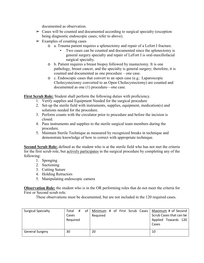documented as observation.

- $\triangleright$  Cases will be counted and documented according to surgical specialty (exception being diagnostic endoscopic cases; refer to above).
- $\triangleright$  Examples of counting cases
	- o a. Trauma patient requires a splenectomy and repair of a Lefort I fracture.
		- Two cases can be counted and documented since the splenectomy is general surgery specialty and repair of LeFort I is oral-maxillofacial surgical specialty.
	- o b. Patient requires a breast biopsy followed by mastectomy. It is one pathology, breast cancer, and the specialty is general surgery; therefore, it is counted and documented as one procedure – one case.
	- o c. Endoscopic cases that convert to an open case (e.g.: Laparoscopic Cholecystectomy converted to an Open Cholecystectomy) are counted and documented as one (1) procedure—one case.

**First Scrub Role:** Student shall perform the following duties with proficiency.

- 1. Verify supplies and Equipment Needed for the surgical procedure
- 2. Set-up the sterile field with instruments, supplies, equipment, medication(s) and solutions needed for the procedure.
- 3. Perform counts with the circulator prior to procedure and before the incision is closed.
- 4. Pass instruments and supplies to the sterile surgical team members during the procedure.
- 5. Maintain Sterile Technique as measured by recognized breaks in technique and demonstrate knowledge of how to correct with appropriate technique.

**Second Scrub Role:** defined as the student who is at the sterile field who has not met the criteria for the first scrub role, but actively participates in the surgical procedure by completing any of the following:

- 1. Sponging
- 2. Suctioning
- 3. Cutting Suture
- 4. Holding Retractors
- 5. Manipulating endoscopic camera

**Observation Role:** the student who is in the OR performing roles that do not meet the criteria for First or Second scrub role.

These observations must be documented, but are not included in the 120 required cases.

| <b>Surgical Specialty</b> | Total<br>Cases<br>Required | # | of | Minimum # of First Scrub Cases<br>Required |  |  | Cases | Maximum # of Second<br>Scrub Cases that can be<br>Applied Towards 120 |  |
|---------------------------|----------------------------|---|----|--------------------------------------------|--|--|-------|-----------------------------------------------------------------------|--|
| <b>General Surgery</b>    | 30                         |   |    | 20                                         |  |  | 10    |                                                                       |  |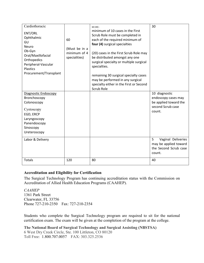| Cardiothoracic<br>ENT/ORL<br>Ophthalmic<br>GU<br><b>Neuro</b><br>Ob-Gyn<br>Oral/Maxillofacial<br>Orthopedics<br>Peripheral-Vascular<br><b>Plastics</b><br>Procurement/Transplant | 60<br>(Must be in a<br>minimum of 4<br>specialities) | $60(40)$ -<br>minimum of 10 cases in the First<br>Scrub Role must be completed in<br>each of the required minimum of<br>four (4) surgical specialties<br>(20) cases in the First Scrub Role may<br>be distributed amongst any one<br>surgical specialty or multiple surgical<br>specialties.<br>remaining 30 surgical specialty cases<br>may be performed in any surgical<br>specialty either in the First or Second<br>Scrub Role | 30                                                                                           |
|----------------------------------------------------------------------------------------------------------------------------------------------------------------------------------|------------------------------------------------------|------------------------------------------------------------------------------------------------------------------------------------------------------------------------------------------------------------------------------------------------------------------------------------------------------------------------------------------------------------------------------------------------------------------------------------|----------------------------------------------------------------------------------------------|
| Diagnostic Endoscopy<br>Bronchoscopy<br>Colonoscopy<br>Cystoscopy<br>EGD, ERCP<br>Laryngoscopy<br>Panendoscopy<br>Sinoscopy<br>Ureteroscopy                                      |                                                      |                                                                                                                                                                                                                                                                                                                                                                                                                                    | 10 diagnostic<br>endoscopy cases may<br>be applied toward the<br>second Scrub case<br>count. |
| Labor & Delivery                                                                                                                                                                 |                                                      |                                                                                                                                                                                                                                                                                                                                                                                                                                    | 5<br>Vaginal Deliveries<br>may be applied toward<br>the Second Scrub case<br>count.          |
| Totals                                                                                                                                                                           | 120                                                  | 80                                                                                                                                                                                                                                                                                                                                                                                                                                 | 40                                                                                           |

## **Accreditation and Eligibility for Certification**

The Surgical Technology Program has continuing accreditation status with the Commission on Accreditation of Allied Health Education Programs (CAAHEP).

*CAAHEP* 1361 Park Street Clearwater, FL 33756 Phone 727-210-2350 Fax: 727-210-2354

Students who complete the Surgical Technology program are required to sit for the national certification exam. The exam will be given at the completion of the program at the college.

**The National Board of Surgical Technology and Surgical Assisting (NBSTSA)** 6 West Dry Creek Circle, Ste. 100 Littleton, CO 80120 Toll Free: 1.800.707.0057 FAX: 303.325.2536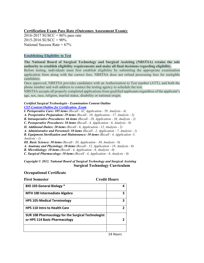#### **Certification Exam Pass Rate (Outcomes Assessment Exam):**

 $2016 - 2017$  SUSCC = 86% pass rate  $2015 - 2016$  SUSCC =  $90\%$ National Success Rate  $= 67\%$ 

#### **Establishing Eligibility to Test**

**The National Board of Surgical Technology and Surgical Assisting (NBSTSA) retains the sole authority to establish eligibility requirements and make all final decisions regarding eligibility.**

Before testing, individuals must first establish eligibility by submitting the appropriate examination application form along with the correct fees. NBSTSA does not refund processing fees for ineligible candidates.

Once approved, NBSTSA provides candidates with an Authorization to Test number (ATT), and both the phone number and web address to contact the testing agency to schedule the test.

NBSTSA accepts all properly completed applications from qualified applicants regardless of the applicant's age, sex, race, religion, marital status, disability or national origin.

# *Certified Surgical Technologist - Examination Content Outline*

*[CST-Content-Outline for Certification Exam](http://nbstsa.org/downloads/2012/CST-Content-Outline-2012-Final.pdf)*

*I. Perioperative Care: 105 items (Recall - 42, Application - 59, Analysis - 4)* 

*A. Preoperative Preparation: 29 items (Recall - 10, Application - 17, Analysis - 2)* 

*B. Intraoperative Procedures: 66 items (Recall - 28, Application - 36, Analysis - 2)* 

*C. Postoperative Procedures: 10 items (Recall - 4, Application - 6, Analysis - 0)* 

*II. Additional Duties: 20 items (Recall - 6, Application - 12, Analysis - 2)* 

*A. Administrative and Personnel: 10 items (Recall - 2, Application - 7, Analysis - 1)* 

*B. Equipment Sterilization and Maintenance: 10 items (Recall - 4, Application -5, Analysis - 1)* 

*III. Basic Science: 50 items (Recall - 20, Application - 30, Analysis - 0)* 

*A. Anatomy and Physiology: 30 items (Recall - 12, Application - 18, Analysis - 0)* 

*B. Microbiology: 10 items (Recall - 4, Application - 6, Analysis - 0)* 

*C. Surgical Pharmacology: 10 items (Recall - 4, Application - 6, Analysis - 0)* 

#### *Copyright © 2012. National Board of Surgical Technology and Surgical Assisting*  **Surgical Technology Curriculum**

#### **Occupational Certificate**

| <b>BIO 103 General Biology *</b>                                                    |   |
|-------------------------------------------------------------------------------------|---|
|                                                                                     |   |
| <b>MTH 100 Intermediate Algebra</b>                                                 | З |
| <b>HPS 105-Medical Terminology</b>                                                  | R |
| <b>HPS 110 Intro to Health Care</b>                                                 | 2 |
| SUR 108 Pharmacology for the Surgical Technologist<br>or HPS 114 Basic Pharmacology |   |
| .                                                                                   |   |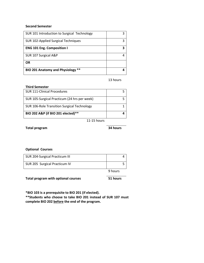#### **Second Semester**

| SUR 101 Introduction to Surgical Technology |  |
|---------------------------------------------|--|
| SUR 102-Applied Surgical Techniques         |  |
| <b>ENG 101 Eng. Composition I</b>           |  |
| SUR 107 Surgical A&P                        |  |
| OR                                          |  |
| BIO 201 Anatomy and Physiology **           |  |

13 hours

#### **Third Semester**

| <b>SUR 111-Clinical Procedures</b>           |  |
|----------------------------------------------|--|
| SUR 105-Surgical Practicum (24 hrs per week) |  |
| SUR 106-Role Transition Surgical Technology  |  |
| BIO 202 A&P (if BIO 201 elected)**           |  |
|                                              |  |

11-15 hours

**Total program 34 hours**

#### **Optional Courses**

|                                | 9 hours |  |
|--------------------------------|---------|--|
| SUR 205 Surgical Practicum IV  |         |  |
| SUR 204-Surgical Practicum III |         |  |

**Total program with optional courses 51 hours**

**\*BIO 103 is a prerequisite to BIO 201 (if elected).** 

**\*\*Students who choose to take BIO 201 instead of SUR 107 must complete BIO 202 before the end of the program.**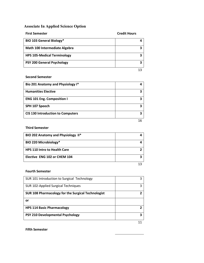# **Associate In Applied Science Option**

| <b>First Semester</b>              | <b>Credit Hours</b> |
|------------------------------------|---------------------|
| <b>BIO 103 General Biology*</b>    |                     |
| Math 100 Intermediate Algebra      | 3                   |
| <b>HPS 105-Medical Terminology</b> | 3                   |
| <b>PSY 200 General Psychology</b>  | ર                   |
|                                    |                     |

### **Second Semester**

| Bio 201 Anatomy and Physiology I*        |  |
|------------------------------------------|--|
| <b>Humanities Elective</b>               |  |
| <b>ENG 101 Eng. Composition I</b>        |  |
| SPH 107 Speech                           |  |
| <b>CIS 130 Introduction to Computers</b> |  |
|                                          |  |

#### **Third Semester**

| BIO 202 Anatomy and Physiology II*  |  |
|-------------------------------------|--|
| BIO 220 Microbiology*               |  |
| <b>HPS 110 Intro to Health Care</b> |  |
| Elective ENG 102 or CHEM 104        |  |
|                                     |  |

#### **Fourth Semester**

| SUR 101 Introduction to Surgical Technology        |  |
|----------------------------------------------------|--|
| SUR 102-Applied Surgical Techniques                |  |
| SUR 108 Pharmacology for the Surgical Technologist |  |
| or                                                 |  |
| <b>HPS 114 Basic Pharmacology</b>                  |  |
| PSY 210 Developmental Psychology                   |  |
|                                                    |  |

#### **Fifth Semester**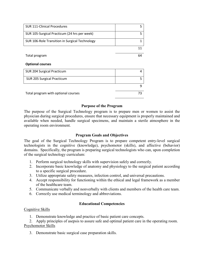| <b>SUR 111-Clinical Procedures</b>             | 5  |
|------------------------------------------------|----|
| SUR 105-Surgical Practicum (24 hrs per week)   | 5  |
| SUR 106-Role Transition in Surgical Technology | 1  |
|                                                | 11 |
| Total program                                  | 64 |
| <b>Optional courses</b>                        |    |
| SUR 204 Surgical Practicum                     | 4  |
| SUR 205 Surgical Practicum                     | 5  |
|                                                | 9  |
| Total program with optional courses            | 73 |

#### **Purpose of the Program**

The purpose of the Surgical Technology program is to prepare men or women to assist the physician during surgical procedures, ensure that necessary equipment is properly maintained and available when needed, handle surgical specimens, and maintain a sterile atmosphere in the operating room environment.

#### **Program Goals and Objectives**

The goal of the Surgical Technology Program is to prepare competent entry-level surgical technologists in the cognitive (knowledge), psychomotor (skills), and affective (behavior) domains. Specifically, the program is preparing surgical technologists who can, upon completion of the surgical technology curriculum:

- 1. Perform surgical technology skills with supervision safely and correctly.
- 2. Incorporate basic knowledge of anatomy and physiology to the surgical patient according to a specific surgical procedure.
- 3. Utilize appropriate safety measures, infection control, and universal precautions.
- 4. Accept responsibility for functioning within the ethical and legal framework as a member of the healthcare team.
- 5. Communicate verbally and nonverbally with clients and members of the health care team.
- 6. Correctly use medical terminology and abbreviations.

## **Educational Competencies**

#### Cognitive Skills

1. Demonstrate knowledge and practice of basic patient care concepts.

2. Apply principles of asepsis to assure safe and optimal patient care in the operating room. Psychomotor Skills

3. Demonstrate basic surgical case preparation skills.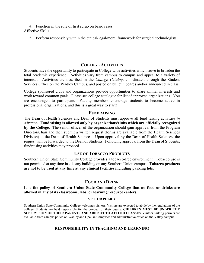4. Function in the role of first scrub on basic cases. Affective Skills

5. Perform responsibly within the ethical/legal/moral framework for surgical technologists.

## **COLLEGE ACTIVITIES**

Students have the opportunity to participate in College wide activities which serve to broaden the total academic experience. Activities vary from campus to campus and appeal to a variety of interests. Activities are described in the *College Catalog*, coordinated through the Student Services Office on the Wadley Campus, and posted on bulletin boards and/or announced in class.

College sponsored clubs and organizations provide opportunities to share similar interests and work toward common goals. Please see college catalogue for list of approved organizations. You are encouraged to participate. Faculty members encourage students to become active in professional organizations, and this is a great way to start!

#### **FUNDRAISING**

The Dean of Health Sciences and Dean of Students must approve all fund raising activities *in advance***. Fundraising is allowed only by organizations/clubs which are officially recognized by the College.** The senior officer of the organization should gain approval from the Program Director/Chair and then submit a written request (forms are available from the Health Sciences Division) to the Dean of Health Sciences. Upon approval by the Dean of Health Sciences, the request will be forwarded to the Dean of Students. Following approval from the Dean of Students, fundraising activities may proceed.

## **USE OF TOBACCO PRODUCTS**

Southern Union State Community College provides a tobacco-free environment. Tobacco use is not permitted at any time inside any building on any Southern Union campus. **Tobacco products are not to be used at any time at any clinical facilities including parking lots.**

## **FOOD AND DRINK**

**It is the policy of Southern Union State Community College that no food or drinks are allowed in any of its classrooms, labs, or learning resource centers.**

#### **VISITOR POLICY**

Southern Union State Community College welcomes visitors. Visitors are expected to abide by the regulations of the college. Students are held responsible for the conduct of their guests. **CHILDREN MUST BE UNDER THE SUPERVISION OF THEIR PARENTS AND ARE NOT TO ATTEND CLASSES.** Visitors parking permits are available from campus police on Wadley and Opelika Campuses and administrative office on the Valley campus.

## **RESPONSIBILITY IN TEACHING AND LEARNING**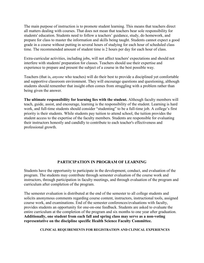The main purpose of instruction is to promote student learning. This means that teachers direct all matters dealing with courses. That does not mean that teachers bear sole responsibility for students' education. Students need to follow a teachers' guidance, study, do homework, and prepare for class to master the information and skills being taught. Students cannot expect a good grade in a course without putting in several hours of studying for each hour of scheduled class time. The recommended amount of student time is 2 hours per day for each hour of class.

Extra-curricular activities, including jobs, will not affect teachers' expectations and should not interfere with students' preparation for classes. Teachers should use their expertise and experience to prepare and present the subject of a course in the best possible way.

Teachers (that is, *anyone* who teaches) will do their best to provide a disciplined yet comfortable and supportive classroom environment. They will encourage questions and questioning, although students should remember that insight often comes from struggling with a problem rather than being given the answer.

**The ultimate responsibility for learning lies with the student.** Although faculty members will teach, guide, assist, and encourage, learning is the responsibility of the student. Learning is hard work, and full-time students should consider "studenting" to be a full-time job. A college's first priority is their students. While students pay tuition to attend school, the tuition provides the student access to the expertise of the faculty members. Students are responsible for evaluating their instructors honestly and candidly to contribute to each teacher's effectiveness and professional growth.

## **PARTICIPATION IN PROGRAM OF LEARNING**

Students have the opportunity to participate in the development, conduct, and evaluation of the program. The students may contribute through semester evaluation of the course work and instructors, through participation in faculty meetings, and through evaluation of the program and curriculum after completion of the program.

The semester evaluation is distributed at the end of the semester to all college students and solicits anonymous comments regarding course content, instructors, instructional tools, assigned course work, and examinations. End of the semester conferences/evaluations with faculty, provides students an opportunity for one-on-one feedback. Students are asked to evaluate the entire curriculum at the completion of the program and six months to one year after graduation. **Additionally, one student from each fall and spring class may serve as a non-voting representative on the discipline specific Health Science Faculty Committee.** 

**CLINICAL REQUIREMENTS FOR REGISTRATION AND CLINICAL EXPERIENCES**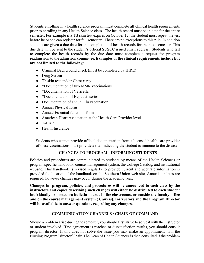Students enrolling in a health science program must complete **all** clinical health requirements prior to enrolling in any Health Science class. The health record must be in date for the entire semester. For example if a TB skin test expires on October 12, the student must repeat the test before he or she can register for fall semester. There are no exceptions to this rule. In addition students are given a due date for the completion of health records for the next semester. This due date will be sent to the student's official SUSCC issued email address. Students who fail to complete the health records by the due date must complete a request for program readmission to the admission committee. **Examples of the clinical requirements include but are not limited to the following:**

- Criminal Background check (must be completed by HIRE)
- Drug Screen
- Tb skin test and/or Chest x-ray
- \*Documentation of two MMR vaccinations
- \*Documentation of Varicella
- \*Documentation of Hepatitis series
- Documentation of annual Flu vaccination
- Annual Physical form
- Annual Essential functions form
- American Heart Association at the Health Care Provider level
- $\bullet$  T-DAP
- Health Insurance

Students who cannot provide official documentation from a licensed health care provider of these vaccinations must provide a titer indicating the student is immune to the disease.

## **CHANGES TO PROGRAM - INFORMING STUDENTS**

Policies and procedures are communicated to students by means of the Health Sciences or program specific handbook, course management system, the College Catalog, and institutional website. This handbook is revised regularly to provide current and accurate information is provided the location of the handbook on the Southern Union web site, Annuals updates are required; however changes may occur during the academic year.

**Changes in program, policies, and procedures will be announced to each class by the instructors and copies describing such changes will either be distributed to each student individually or posted on bulletin boards in the classrooms, or outside the faculty office and on the course management system ( Canvas). Instructors and the Program Director will be available to answer questions regarding any changes.** 

## **COMMUNICATION CHANNELS / CHAIN OF COMMAND**

Should a problem arise during the semester, you should first strive to solve it with the instructor or student involved. If no agreement is reached or dissatisfaction results, you should consult program director. If this does not solve the issue you may make an appointment with the Nursing Program Director/Chair. The Dean of Health Sciences is then consulted if the problem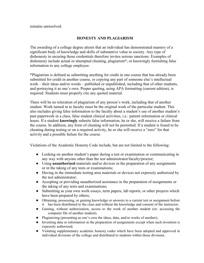remains unresolved.

## **HONESTY AND PLAGIARISM**

The awarding of a college degree attests that an individual has demonstrated mastery of a significant body of knowledge and skills of substantive value to society. Any type of dishonesty in securing those credentials therefore invites serious sanctions. Examples of dishonesty include actual or attempted cheating, plagiarism\*, or knowingly furnishing false information to any college employee.

\*Plagiarism is defined as submitting anything for credit in one course that has already been submitted for credit in another course, or copying any part of someone else's intellectual work – their ideas and/or words – published or unpublished, including that of other students, and portraying it as one's own. Proper quoting, using APA formatting (current edition), is required. Students must properly cite any quoted material.

There will be no toleration of plagiarism of any person's work, including that of another student. Work turned in to faculty must be the original work of the particular student. This also includes giving false information to the faculty about a student's use of another student's past paperwork in a class, false student clinical activities, i.e.: patient information or clinical hours. If a student **knowingly** submits false information, he or she, will receive a failure from the course. In addition, any form of cheating will not be permitted. If a student is found to be cheating during testing or on a required activity, he or she will receive a "zero" for that activity and a possible failure for the course.

Violations of the Academic Honesty Code include, but are not limited to the following:

- Looking on another student's paper during a test or examination or communicating in any way with anyone other than the test administrator/faculty/proctor;
- Using **unauthorized** materials and/or devices in the preparation of any assignments or in the taking of any tests or examinations;
- Having in the immediate testing area materials or devices not expressly authorized by the test administrator;
- Accepting or providing unauthorized assistance in the preparation of assignments or the taking of any tests and examinations;
- Submitting as your own work essays, term papers, lab reports, or other projects which have been prepared by others;
- Obtaining, possessing, or gaining knowledge or answers to a current test or assignment before it has been distributed to the class and without the knowledge and consent of the instructor;
- Gaining, without authorization, access to the work of another student (ex: accessing the computer file of another student);
- Plagiarizing (presenting as one's own the ideas, data, and/or works of another);
- Inventing data or information in the preparation of assignments except when such invention is expressly authorized;
- Violating supplementary academic honesty codes which have been adopted and approved in individual divisions of the college and distributed to students within those divisions.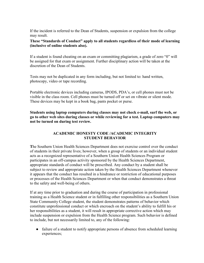If the incident is referred to the Dean of Students, suspension or expulsion from the college may result.

**These "Standards of Conduct" apply to all students regardless of their mode of learning (inclusive of online students also).** 

If a student is found cheating on an exam or committing plagiarism, a grade of zero "0" will be assigned for that exam or assignment. Further disciplinary action will be taken at the discretion of the Dean of Students.

Tests may not be duplicated in any form including, but not limited to: hand written, photocopy, video or tape recording.

Portable electronic devices including cameras, IPODS, PDA's, or cell phones must not be visible in the class room. Cell phones must be turned off or set on vibrate or silent mode. These devices may be kept in a book bag, pants pocket or purse.

**Students using laptop computers during classes may not check e-mail, surf the web, or go to other web sites during classes or while reviewing for a test. Laptop computers may not be turned on during test review.** 

## **ACADEMIC HONESTY CODE /ACADEMIC INTEGRITY STUDENT BEHAVIOR**

**T**he Southern Union Health Sciences Department does not exercise control over the conduct of students in their private lives; however, when a group of students or an individual student acts as a recognized representative of a Southern Union Health Sciences Program or participates in an off-campus activity sponsored by the Health Sciences Department, appropriate standards of conduct will be prescribed. Any conduct by a student shall be subject to review and appropriate action taken by the Health Sciences Department whenever it appears that the conduct has resulted in a hindrance or restriction of educational purposes or processes of the Health Sciences Department or when that conduct demonstrates a threat to the safety and well-being of others.

If at any time prior to graduation and during the course of participation in professional training as a Health Science student or in fulfilling other responsibilities as a Southern Union State Community College student, the student demonstrates patterns of behavior which constitute unprofessional conduct or which encroach on the student's ability to fulfill his or her responsibilities as a student, it will result in appropriate corrective action which may include suspension or expulsion from the Health Science program. Such behavior is defined to include, but not necessarily limited to, any of the following:

• failure of a student to notify appropriate persons of absence from scheduled learning experiences;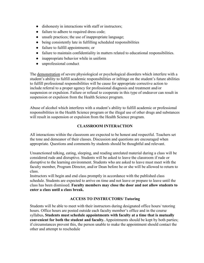- dishonesty in interactions with staff or instructors;
- failure to adhere to required dress code;
- unsafe practices; the use of inappropriate language;
- being consistently late in fulfilling scheduled responsibilities
- failure to fulfill appointments; or
- failure to maintain confidentiality in matters related to educational responsibilities.
- inappropriate behavior while in uniform
- unprofessional conduct

The demonstration of severe physiological or psychological disorders which interfere with a student's ability to fulfill academic responsibilities or infringe on the student's future abilities to fulfill professional responsibilities will be cause for appropriate corrective action to include referral to a proper agency for professional diagnosis and treatment and/or suspension or expulsion. Failure or refusal to cooperate in this type of endeavor can result in suspension or expulsion from the Health Science program.

Abuse of alcohol which interferes with a student's ability to fulfill academic or professional responsibilities in the Health Science program or the illegal use of other drugs and substances will result in suspension or expulsion from the Health Science program.

## **CLASSROOM INTERACTION**

All interactions within the classroom are expected to be honest and respectful. Teachers set the tone and demeanor of their classes. Discussion and questions are encouraged when appropriate. Questions and comments by students should be thoughtful and relevant.

Unsanctioned talking, eating, sleeping, and reading unrelated material during a class will be considered rude and disruptive. Students will be asked to leave the classroom if rude or disruptive to the learning environment. Students who are asked to leave must meet with the faculty member, Program Director, and/or Dean before he or she will be allowed to return to class.

Instructors will begin and end class promptly in accordance with the published class schedule. Students are expected to arrive on time and not leave or prepare to leave until the class has been dismissed. **Faculty members may close the door and not allow students to enter a class until a class break.** 

## **ACCESS TO INSTRUCTORS/ Tutoring**

Students will be able to meet with their instructors during designated office hours/ tutoring hours. Office hours are posted outside each faculty member's office and in the course syllabus**. Students must schedule appointments with faculty at a time that is mutually convenient for both the student and faculty.** Appointments should be kept by both parties; if circumstances prevent this, the person unable to make the appointment should contact the other and attempt to reschedule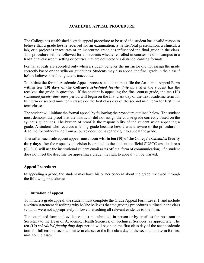## **ACADEMIC APPEAL PROCEDURE**

The College has established a grade appeal procedure to be used if a student has a valid reason to believe that a grade he/she received for an examination, a written/oral presentation, a clinical, a lab, or a project is inaccurate or an inaccurate grade has influenced the final grade in the class. This procedure will be followed for all students whether enrolled in courses held on campus in a traditional classroom setting or courses that are delivered via distance learning formats.

Formal appeals are accepted only when a student believes the instructor did not assign the grade correctly based on the syllabus guidelines. Students may also appeal the final grade in the class if he/she believes the final grade is inaccurate.

To initiate the formal Academic Appeal process, a student must file the Academic Appeal Form **within ten (10) days of the College's** *scheduled faculty duty days* after the student has the received the grade in question. If the student is appealing the final course grade, the ten (10) *scheduled faculty duty days* period will begin on the first class day of the next academic term for full term or second mini term classes or the first class day of the second mini term for first mini term classes.

The student will initiate the formal appeal by following the procedure outlined below. The student must demonstrate proof that the instructor did not assign the course grade correctly based on the syllabus guidelines. The burden of proof is the responsibility of the student when appealing a grade. A student who receives a failing grade because he/she was unaware of the procedure or deadline for withdrawing from a course does not have the right to appeal the grade.

Thereafter, each subsequent appeal must occur **within ten (10) of the College's** *scheduled* **faculty duty days** after the respective decision is emailed to the student's official SUSCC email address (SUSCC will use the institutional student email as its official form of communication). If a student does not meet the deadline for appealing a grade, the right to appeal will be waived.

#### **Appeal Procedure:**

In appealing a grade, the student may have his or her concern about the grade reviewed through the following procedures:

#### **1. Initiation of appeal**

To initiate a grade appeal, the student must complete the Grade Appeal Form Level 1, and include a written statement describing why he/she believes that the grading procedures outlined in the class syllabus were not appropriately followed, attaching all relevant evidence to the form.

The completed form and evidence must be submitted in person or by email to the Assistant or Secretary to the Dean of Academic, Health Sciences, or Technical Services, as appropriate, The **ten (10)** *scheduled faculty duty days* period will begin on the first class day of the next academic term for full term or second mini term classes or the first class day of the second mini term for first mini term classes.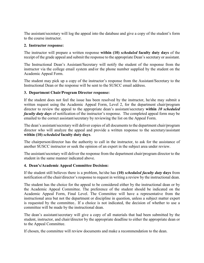The assistant/secretary will log the appeal into the database and give a copy of the student's form to the course instructor.

#### **2. Instructor response:**

The instructor will prepare a written response **within (10)** *scheduled* **faculty duty days** of the receipt of the grade appeal and submit the response to the appropriate Dean's secretary or assistant.

The Instructional Dean's Assistant/Secretary will notify the student of the response from the instructor via the college email system and/or the phone number supplied by the student on the Academic Appeal Form.

The student may pick up a copy of the instructor's response from the Assistant/Secretary to the Instructional Dean or the response will be sent to the SUSCC email address.

#### **3. Department Chair/Program Director response:**

If the student does not feel the issue has been resolved by the instructor, he/she may submit a written request using the Academic Appeal Form, Level 2, for the department chair/program director to review the appeal to the appropriate dean's assistant/secretary **within** *10 scheduled faculty duty days* of notification of the instructor's response. The completed appeal form may be emailed to the correct assistant/secretary by reviewing the list on the Appeal Form.

The dean's assistant/secretary will deliver copies of all documents to the department chair/program director who will analyze the appeal and provide a written response to the secretary/assistant **within (10)** *scheduled* **faculty duty days**.

The chairperson/director has the authority to call in the instructor, to ask for the assistance of another SUSCC instructor or seek the opinion of an expert in the subject area under review.

The assistant/secretary will deliver the response from the department chair/program director to the student in the same manner indicated above.

## **4. Dean's/Academic Appeal Committee Decision:**

If the student still believes there is a problem, he/she has **(10)** *scheduled faculty duty* **days** from notification of the chair/director's response to request in writing a review by the instructional dean.

The student has the choice for the appeal to be considered either by the instructional dean or by the Academic Appeal Committee. The preference of the student should be indicated on the Academic Appeal Form, Final Level. The Committee will have a representative from the instructional area but not the department or discipline in question, unless a subject matter expert is requested by the committee.. If a choice is not indicated, the decision of whether to use a committee will be made by the instructional dean.

The dean's assistant/secretary will give a copy of all materials that had been submitted by the student, instructor, and chair/director by the appropriate deadline to either the appropriate dean or to the Appeal Committee.

If chosen, the committee will review documents and make a recommendation to the dean.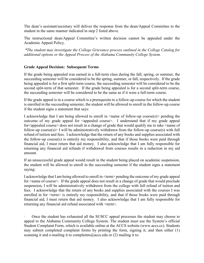The dean's assistant/secretary will deliver the response from the dean/Appeal Committee to the student in the same manner indicated in step 2 listed above.

The instructional dean/Appeal Committee's written decision cannot be appealed under the Academic Appeal Policy.

*\*The student may investigate the College Grievance process outlined in the College Catalog for additional options or the Appeal Process of the Alabama Community College System.*

## **Grade Appeal Decision: Subsequent Terms**

If the grade being appealed was earned in a full-term class during the fall, spring, or summer, the succeeding semester will be considered to be the spring, summer, or fall, respectively. If the grade being appealed is for a first split-term course, the succeeding semester will be considered to be the second split-term of that semester. If the grade being appealed is for a second split-term course, the succeeding semester will be considered to be the same as if it were a full-term course.

If the grade appeal is in a course which is a prerequisite to a follow-up course for which the student is enrolled in the succeeding semester, the student will be allowed to enroll in the follow-up course if the student signs a statement that says:

I acknowledge that I am being allowed to enroll in  $\leq$  name of follow-up course(s) pending the outcome of my grade appeal for  $\leq$ appealed course $\geq$ . I understand that if my grade appeal for<appealed course> does not result in a change of grade that would qualify me to take <name of follow-up course(s) I will be administratively withdrawn from the follow-up course(s) with full refund of tuition and fees. I acknowledge that the return of any books and supplies associated with the follow-up course(s) is entirely my responsibility, and that if those books were paid through financial aid, I must return that aid money. I also acknowledge that I am fully responsible for returning any financial aid refunds if withdrawal from courses results in a reduction in my aid amount.

If an unsuccessful grade appeal would result in the student being placed on academic suspension, the student will be allowed to enroll in the succeeding semester if the student signs a statement saying:

I acknowledge that I am being allowed to enroll in <term> pending the outcome of my grade appeal for <name of course>. If the grade appeal does not result in a change of grade that would preclude suspension, I will be administratively withdrawn from the college with full refund of tuition and fees. I acknowledge that the return of any books and supplies associated with the courses I was enrolled in for  $\leq$  term $\geq$  is entirely my responsibility, and that if those books were paid through financial aid, I must return that aid money. I also acknowledge that I am fully responsible for returning any financial aid refund associated with <term>.

Once the student has exhausted all the SUSCC appeal processes the student may choose to appeal to the Alabama Community College System. The student must use the System's official Student Complaint Form, which is available online at the ACCS website (www.accs.cc). Students may submit completed complaint forms by printing the form, signing it, and then either (1) scanning it and e-mailing it to complaints  $@$  accs.edu or (2) mailing it to: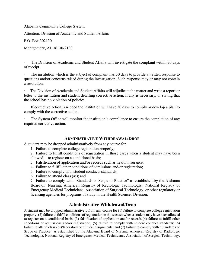Alabama Community College System

Attention: Division of Academic and Student Affairs

P.O. Box 302130

Montgomery, AL 36130-2130

The Division of Academic and Student Affairs will investigate the complaint within 30 days of receipt.

The institution which is the subject of complaint has 30 days to provide a written response to questions and/or concerns raised during the investigation. Such response may or may not contain a resolution.

The Division of Academic and Student Affairs will adjudicate the matter and write a report or letter to the institution and student detailing corrective action, if any is necessary, or stating that the school has no violation of policies.

If corrective action is needed the institution will have 30 days to comply or develop a plan to comply with the corrective action.

The System Office will monitor the institution's compliance to ensure the completion of any required corrective action.

#### **ADMINISTRATIVE WITHDRAWAL/DROP**

A student may be dropped administratively from any course for

- 1. Failure to complete college registration properly;
- 2. Failure to fulfill conditions of registration in those cases when a student may have been

allowed to register on a conditional basis;

- 3. Falsification of application and/or records such as health insurance.
- 4. Failure to fulfill other conditions of admissions and/or registration;
- 5. Failure to comply with student conducts standards;
- 6. Failure to attend class (as); and

7. Failure to comply with "Standards or Scope of Practice" as established by the Alabama Board of Nursing, American Registry of Radiologic Technologist, National Registry of Emergency Medical Technicians, Association of Surgical Technology, or other regulatory or licensing agencies for programs of study in the Health Sciences Division.

## **Administrative Withdrawal/Drop**

A student may be dropped administratively from any course for (1) failure to complete college registration properly; (2) failure to fulfill conditions of registration in those cases when a student may have been allowed to register on a conditional basis; (3) falsification of application and/or records (4) failure to fulfill other conditions of admissions and/or registration; (5) failure to comply with student conduct standards; (6) failure to attend class (es)/laboratory or clinical assignments; and (7) failure to comply with "Standards or Scope of Practice" as established by the Alabama Board of Nursing, American Registry of Radiologic Technologist, National Registry of Emergency Medical Technicians, Association of Surgical Technology,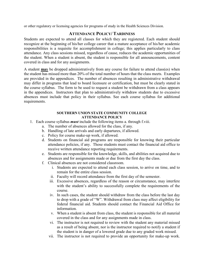or other regulatory or licensing agencies for programs of study in the Health Sciences Division.

# **ATTENDANCE POLICY/ TARDINESS**

Students are expected to attend all classes for which they are registered. Each student should recognize at the beginning of his/her college career that a mature acceptance of his/her academic responsibilities is a requisite for accomplishment in college; this applies particularly to class attendance. Any class sessions missed, regardless of cause, reduces the academic opportunities of the student. When a student is absent, the student is responsible for all announcements, content covered in class and for any assignments.

A student **may** be dropped administratively from any course for failure to attend class(es) when the student has missed more than 20% of the total number of hours that the class meets. Examples are provided in the appendices. The number of absences resulting in administrative withdrawal may differ in programs that lead to board licensure or certification, but must be clearly stated in the course syllabus. The form to be used to request a student be withdrawn from a class appears in the appendices. Instructors that plan to administratively withdraw students due to excessive absences must include that policy in their syllabus. See each course syllabus for additional requirements.

#### **SOUTHERN UNION STATE COMMUNITY COLLEGE ATTENDANCE POLICY**

- 1. Each course syllabus *must* include the following items a. through f.viii.
	- a. The number of absences allowed for the class, if any.
	- b. Handling of late arrivals and early departures, if allowed.
	- c. Policy for course make-up work, if allowed.
	- d. Students on financial aid programs are responsible for knowing their particular attendance policies, if any. Those students must contact the financial aid office to receive written attendance reporting requirements.
	- e. Students are responsible for the knowledge, skills, and abilities not acquired due to absences and for assignments made or due from the first day the class.
	- f. Clinical absences are not considered classroom.
		- i. Students are expected to attend each class session, to arrive on time, and to remain for the entire class session.
		- ii. Faculty will record attendance from the first day of the semester.
		- iii. Excessive absences, regardless of the reason or circumstance, may interfere with the student's ability to successfully complete the requirements of the course.
		- iv. In such cases, the student should withdraw from the class before the last day to drop with a grade of "W". Withdrawal from class may affect eligibility for federal financial aid. Students should contact the Financial Aid Office for information.
		- v. When a student is absent from class, the student is responsible for all material covered in the class and for any assignments made in class.
		- vi. The instructor is not required to review with the student any material missed as a result of being absent, nor is the instructor required to notify a student if the student is in danger of a lowered grade due to any graded work missed.
		- vii. The instructor is not required to provide an opportunity for make-up work.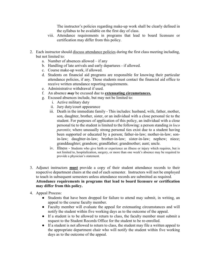The instructor's policies regarding make-up work shall be clearly defined in the syllabus to be available on the first day of class.

- viii. Attendance requirements in programs that lead to board licensure or certification may differ from this policy.
- 2. Each instructor should discuss attendance policies during the first class meeting including, but not limited to:
	- a. Number of absences allowed if any
	- b. Handling of late arrivals and early departures if allowed.
	- c. Course make-up work, if allowed.
	- d. Students on financial aid programs are responsible for knowing their particular attendance policies, if any. Those students must contact the financial aid office to receive written attendance reporting requirements.
	- e. Administrative withdrawal if used.
	- f. An absence *may* be excused due to **extenuating circumstances.**
	- g. Excused absences include, but may not be limited to:
		- i. Active military duty
			- ii. Jury duty/court appearance
		- iii. Death in the immediate family This includes: husband, wife, father, mother, son, daughter, brother, sister, or an individual with a close personal tie to the student. For purposes of application of this policy, an individual with a close personal tie to the student is limited to the following: a person standing *in loco parentis*; where unusually strong personal ties exist due to a student having been supported or educated by a person; father-in-law; mother-in-law; sonin-law; daughter-in-law; brother-in-law; sister-in-law; nephew; niece; granddaughter; grandson; grandfather; grandmother; aunt; uncle.
		- iv. Illness Students who give birth or experience an illness or injury which requires, but is not limited to, hospitalization, surgery, or more than one week's absence may be required to provide a physician's statement.
- 3. Adjunct instructors **must** provide a copy of their student attendance records to their respective department chairs at the end of each semester. Instructors will not be employed to teach in subsequent semesters unless attendance records are submitted as required. **Attendance requirements in programs that lead to board licensure or certification may differ from this policy.**
- 4. Appeal Process:
	- Students that have been dropped for failure to attend may submit, in writing, an appeal to the course faculty member.
	- Faculty member will evaluate the appeal for extenuating circumstances and will notify the student within five working days as to the outcome of the appeal.
	- If a student is to be allowed to return to class, the faculty member must submit a request to the Student Records Office for the student to be re-enrolled.
	- If a student is not allowed to return to class, the student may file a written appeal to the appropriate department chair who will notify the student within five working days as to the outcome of the appeal.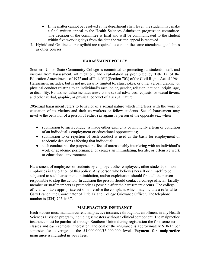- If the matter cannot be resolved at the department chair level, the student may make a final written appeal to the Health Sciences Admission progression committee. The decision of the committee is final and will be communicated to the student within five working days from the date the written appeal is received.
- 5. Hybrid and On-line course syllabi are required to contain the same attendance guidelines as other courses.

#### **HARASSMENT POLICY**

Southern Union State Community College is committed to protecting its students, staff, and visitors from harassment, intimidation, and exploitation as prohibited by Title IX of the Education Amendments of 1972 and of Title VII (Section 703) of the Civil Rights Act of 1964. Harassment includes, but is not necessarily limited to, slurs, jokes, or other verbal, graphic, or physical conduct relating to an individual's race, color, gender, religion, national origin, age, or disability. Harassment also includes unwelcome sexual advances, requests for sexual favors, and other verbal, graphic, or physical conduct of a sexual nature.

20Sexual harassment refers to behavior of a sexual nature which interferes with the work or education of its victims and their co-workers or fellow students. Sexual harassment may involve the behavior of a person of either sex against a person of the opposite sex, when

- submission to such conduct is made either explicitly or implicitly a term or condition of an individual's employment or educational opportunities;
- submission to or rejection of such conduct is used as the basis for employment or academic decisions affecting that individual;
- such conduct has the purpose or effect of unreasonably interfering with an individual's work or academic performance, or creates an intimidating, hostile, or offensive work or educational environment.

Harassment of employees or students by employer, other employees, other students, or nonemployees is a violation of this policy. Any person who believes herself or himself to be subjected to such harassment, intimidation, and/or exploitation should first tell the person responsible to stop the action. In addition the person should contact a college official (faculty member or staff member) as promptly as possible after the harassment occurs. The college official will take appropriate action to resolve the complaint which may include a referral to Gary Branch, the Coordinator of Title IX and College Grievance Officer. The telephone number is (334) 745-6437.

#### **MALPRACTICE INSURANCE**

Each student must maintain current malpractice insurance throughout enrollment in any Health Sciences Division program, including semesters without a clinical component. The malpractice insurance must be purchased through Southern Union during registration the first semester of classes and each semester thereafter. The cost of the insurance is approximately \$10-15 per semester for coverage at the \$1,000,000/\$3,000,000 level. **Payment for malpractice insurance is included in your fees.**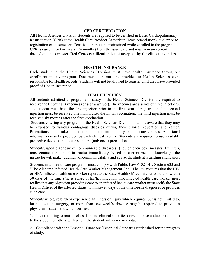#### **CPR CERTIFICATION**

All Health Sciences Division students are required to be certified in Basic Cardiopulmonary Resuscitation (CPR) at the Health Care Provider (American Heart Association) level prior to registration each semester. Certification must be maintained while enrolled in the program. CPR is current for two years (24 months) from the issue date and must remain current throughout the semester. **Red Cross certification is not accepted by the clinical agencies.** 

#### **HEALTH INSURANCE**

Each student in the Health Sciences Division must have health insurance throughout enrollment in any program. Documentation must be provided to Health Sciences clerk responsible for Health records. Students will not be allowed to register until they have provided proof of Health Insurance.

#### **HEALTH POLICY**

All students admitted to programs of study in the Health Sciences Division are required to receive the Hepatitis B vaccines (or sign a waiver). The vaccines are a series of three injections. The student must have the first injection prior to the first term of registration. The second injection must be received one month after the initial vaccination; the third injection must be received six months after the first vaccination.

Students entering any program in the Health Sciences Division must be aware that they may be exposed to various contagious diseases during their clinical education and career. Precautions to be taken are outlined in the introductory patient care courses. Additional information may be provided by each clinical facility. Students are required to use available protective devices and to use standard (universal) precautions.

Students, upon diagnosis of communicable disease(s) (i.e., chicken pox, measles, flu, etc.), must contact the clinical instructor immediately. Based on current medical knowledge, the instructor will make judgment of communicability and advise the student regarding attendance.

Students in all health care programs must comply with Public Law #102-141, Section 633 and "The Alabama Infected Health Care Worker Management Act." The law requires that the HIV or HBV infected health care worker report to the State Health Officer his/her condition within 30 days of the time s/he is aware of his/her infection. The infected health care worker must realize that any physician providing care to an infected health care worker must notify the State Health Officer of the infected status within seven days of the time he/she diagnoses or provides such care.

Students who give birth or experience an illness or injury which requires, but is not limited to, hospitalization, surgery, or more than one week's absence may be required to provide a physician's statement which verifies:

1. That returning to routine class, lab, and clinical activities does not pose undue risk or harm to the student or others with whom the student will come in contact.

2. Compliance with the Essential Functions/Technical Standards established for the program of study.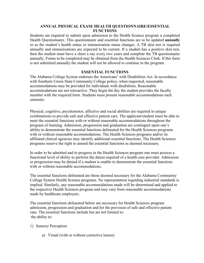## **ANNUAL PHYSICAL EXAM/ HEALTH QUESTIONNAIRE/ESSENTIAL FUNCTIONS**

Students are required to submit upon admission to the Health Science program a completed Health Questionnaire. This questionnaire and essential functions are to be updated **annually**  or as the student's health status or immunization status changes. A TB skin test is required annually and immunizations are expected to be current. If a student has a positive skin test, then the student must have a chest x-ray every two years and complete the TB questionnaire annually. Forms to be completed may be obtained from the Health Sciences Clerk. If this form is not submitted annually the student will not be allowed to continue in the program.

#### **ESSENTIAL FUNCTIONS**

The Alabama College System endorses the Americans' with Disabilities Act. In accordance with Southern Union State Community College policy, when requested, reasonable accommodations may be provided for individuals with disabilities. Reasonable accommodations are not retroactive. They begin the day the student provides the faculty member with the required form. Students must present reasonable accommodations each semester.

Physical, cognitive, psychomotor, affective and social abilities are required in unique combinations to provide safe and effective patient care. The applicant/student must be able to meet the essential functions with or without reasonable accommodations throughout the program of learning. Admission, progression and graduation are contingent upon one's ability to demonstrate the essential functions delineated for the Health Sciences programs with or without reasonable accommodations. The Health Sciences programs and/or its affiliated clinical agencies may identify additional essential functions. The Health Sciences programs reserve the right to amend the essential functions as deemed necessary.

In order to be admitted and to progress in the Health Sciences program one must possess a functional level of ability to perform the duties required of a health care provider. Admission or progression may be denied if a student is unable to demonstrate the essential functions with or without reasonable accommodations.

The essential functions delineated are those deemed necessary for the Alabama Community College System Health Science programs. No representation regarding industrial standards is implied. Similarly, any reasonable accommodations made will be determined and applied to the respective Health Sciences program and may vary from reasonable accommodations made by healthcare employers.

The essential functions delineated below are necessary for Health Sciences program admission, progression and graduation and for the provision of safe and effective patient care. The essential functions include but are not limited to: the ability to:

#### 1) Sensory Perception

a) Visual (with or without corrective lenses)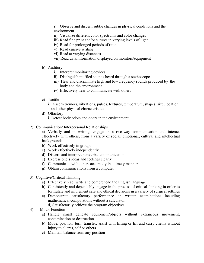i) Observe and discern subtle changes in physical conditions and the environment

- ii) Visualize different color spectrums and color changes
- iii) Read fine print and/or sutures in varying levels of light
- iv) Read for prolonged periods of time
- v) Read cursive writing
- vi) Read at varying distances
- vii) Read data/information displayed on monitors/equipment
- b) Auditory
	- i) Interpret monitoring devices
	- ii) Distinguish muffled sounds heard through a stethoscope
	- iii) Hear and discriminate high and low frequency sounds produced by the body and the environment
	- iv) Effectively hear to communicate with others
- c) Tactile

i) Discern tremors, vibrations, pulses, textures, temperature, shapes, size, location and other physical characteristics

- d) Olfactory
	- i) Detect body odors and odors in the environment
- 2) Communication/ Interpersonal Relationships

a) Verbally and in writing, engage in a two-way communication and interact effectively with others, from a variety of social, emotional, cultural and intellectual backgrounds

- b) Work effectively in groups
- c) Work effectively independently
- d) Discern and interpret nonverbal communication
- e) Express one's ideas and feelings clearly
- f) Communicate with others accurately in a timely manner
- g) Obtain communications from a computer
- 3) Cognitive/Critical Thinking
	- a) Effectively read, write and comprehend the English language
	- b) Consistently and dependably engage in the process of critical thinking in order to formulate and implement safe and ethical decisions in a variety of surgical settings
	- c) Demonstrate satisfactory performance on written examinations including mathematical computations without a calculator
		- d) Satisfactorily achieve the program objectives
- 4) Motor Function
	- a) Handle small delicate equipment/objects without extraneous movement, contamination or destruction
	- b) Move, position, turn, transfer, assist with lifting or lift and carry clients without injury to clients, self or others
	- c) Maintain balance from any position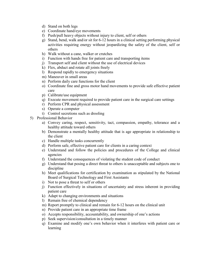- d) Stand on both legs
- e) Coordinate hand/eye movements
- f) Push/pull heavy objects without injury to client, self or others
- g) Stand, bend, walk and/or sit for 6-12 hours in a clinical setting performing physical activities requiring energy without jeopardizing the safety of the client, self or others
- h) Walk without a cane, walker or crutches
- i) Function with hands free for patient care and transporting items
- j) Transport self and client without the use of electrical devices
- k) Flex, abduct and rotate all joints freely
- l) Respond rapidly to emergency situations
- m) Maneuver in small areas
- n) Perform daily care functions for the client
- o) Coordinate fine and gross motor hand movements to provide safe effective patient care
- p) Calibrate/use equipment
- q) Execute movement required to provide patient care in the surgical care settings
- r) Perform CPR and physical assessment
- s) Operate a computer
	- t) Control secretions such as drooling
- 5) Professional Behavior
	- a) Convey caring, respect, sensitivity, tact, compassion, empathy, tolerance and a healthy attitude toward others
	- b) Demonstrate a mentally healthy attitude that is age appropriate in relationship to the client
	- c) Handle multiple tasks concurrently
	- d) Perform safe, effective patient care for clients in a caring context
	- e) Understand and follow the policies and procedures of the College and clinical agencies
	- f) Understand the consequences of violating the student code of conduct
	- g) Understand that posing a direct threat to others is unacceptable and subjects one to discipline
	- h) Meet qualifications for certification by examination as stipulated by the National Board of Surgical Technology and First Assistants
	- i) Not to pose a threat to self or others
	- j) Function effectively in situations of uncertainty and stress inherent in providing patient care
	- k) Adapt to changing environments and situations
	- l) Remain free of chemical dependency
	- m) Report promptly to clinical and remain for 6-12 hours on the clinical unit
	- n) Provide patient care in an appropriate time frame
	- o) Accepts responsibility, accountability, and ownership of one's actions
	- p) Seek supervision/consultation in a timely manner
	- q) Examine and modify one's own behavior when it interferes with patient care or learning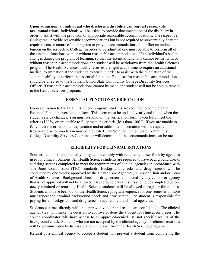**Upon admission, an individual who discloses a disability can request reasonable accommodations.** Individuals will be asked to provide documentation of the disability in order to assist with the provision of appropriate reasonable accommodations. The respective College will provide reasonable accommodations but is not required to substantially alter the requirements or nature of the program or provide accommodations that inflict an undue burden on the respective College. In order to be admitted one must be able to perform all of the essential functions with or without reasonable accommodations. If an individual's health changes during the program of learning, so that the essential functions cannot be met with or without reasonable accommodations, the student will be withdrawn from the Health Sciences program. The Health Sciences faculty reserves the right at any time to require an additional medical examination at the student's expense in order to assist with the evaluation of the student's ability to perform the essential functions. Requests for reasonable accommodations should be directed to the Southern Union State Community College Disability Services Officer. If reasonable accommodations cannot be made, the student will not be able to remain in the Health Sciences program.

#### **ESSENTIAL FUNCTIONS VERIFICATION**

Upon admission to the Health Sciences program, students are required to complete the Essential Functions verification form. This form must be updated yearly and if and when the students status changes. You must respond on the verification form if you fully meet the criteria (100%) or are unable to fully meet the criteria (less than 100%). If you are unable to fully meet the criterion, an explanation and/or additional information will be required. Reasonable accommodation may be requested. The Southern Union State Community College Disability Services Coordinator will determine if the accommodations can be met.

#### **ELIGIBILITY FOR CLINICAL ROTATIONS**

Southern Union is contractually obligated to comply with requirements set forth by agencies used for clinical rotations. All Health Science students are required to have background checks and drug screens completed to meet the requirements of clinical agencies in accordance with The Joint Commission (TJC) standards. Background checks and drug screens will be conducted by one vendor approved by the Health Care Agencies, Division Chair and/or Dean of Health Sciences. Background checks or drug screens conducted by any vendor or agency that is not approved will not be allowed. Background check results should be completed before newly admitted or returning Health Science students will be allowed to register for courses. Students who have been out of the Health Science program sequence for one semester or more must repeat the criminal background check and drug screen. The student is responsible for paying for all background and drug screens required by the clinical agencies.

Students contract directly with the approved vendor and results are confidential. The clinical agency (ies) will make the decision to approve or deny the student for clinical privileges. The course coordinator will have access to an approved/denied list, not specific results of the background check. Students who are not accepted by the clinical agency for clinical rotations will be administratively dismissed and withdrawn from the Health Science program.

Refusal of a clinical agency to accept a student will prevent a student from completing the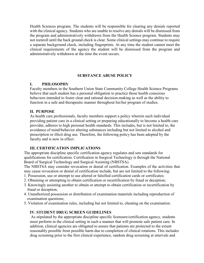Health Sciences program. The students will be responsible for clearing any denials reported with the clinical agency. Students who are unable to resolve any denials will be dismissed from the program and administratively withdrawn from the Health Science program. Students may not reenroll until the back ground check is clear. Some clinical settings may continue to require a separate background check, including fingerprints. At any time the student cannot meet the clinical requirements of the agency the student will be dismissed from the program and administratively withdrawn at the time the event occurs.

#### **SUBSTANCE ABUSE POLICY**

#### **I. PHILOSOPHY**

Faculty members in the Southern Union State Community College Health Science Programs believe that each student has a personal obligation to practice those health conscious behaviors intended to foster clear and rational decision-making as well as the ability to function in a safe and therapeutic manner throughout his/her program of studies.

#### **II. PURPOSE**

As health care professionals, faculty members support a policy wherein each individual providing patient care in a clinical setting or preparing educationally to become a health care provider, adheres to high personal health standards. This includes, but is not limited to, the avoidance of mind/behavior altering substances including but not limited to alcohol and prescription or illicit drug use. Therefore, the following policy has been adopted by the faculty and is now in effect.

## **III. CERTIFICATION IMPLICATIONS**

The appropriate discipline specific certification agency regulates and sets standards for qualifications for certification. Certification in Surgical Technology is through the National Board of Surgical Technology and Surgical Assisting (NBSTSA).

The NBSTSA may consider revocation or denial of certification. Examples of the activities that may cause revocation or denial of certification include, but are not limited to the following:

- 1. Possession, use or attempt to use altered or falsified certification cards or certificates;
- 2. Obtaining or attempting to obtain certification or recertification by fraud or deception;
- 3. Knowingly assisting another to obtain or attempt to obtain certification or recertification by fraud or deception;
- 4. Unauthorized possession or distribution of examination materials including reproduction of examination questions;
- 5. Violation of examination rules, including but not limited to, cheating on the examination.

#### **IV. STUDENT DRUG SCREEN GUIDELINES**

As stipulated by the appropriate discipline specific licensure/certification agency, students must perform in the clinical setting in such a manner that will promote safe patient care. In addition, clinical agencies are obligated to assure that patients are protected to the extent reasonably possible from possible harm due to completion of clinical rotations. This includes drug screening prior to the first clinical experience, random drug screening at intervals and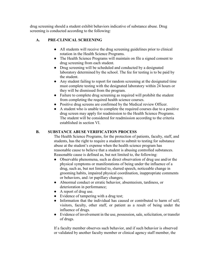drug screening should a student exhibit behaviors indicative of substance abuse. Drug screening is conducted according to the following:

# **A. PRE-CLINICAL SCREENING**

- All students will receive the drug screening guidelines prior to clinical rotation in the Health Science Programs.
- The Health Science Programs will maintain on file a signed consent to drug screening from each student.
- Drug screening will be scheduled and conducted by a designated laboratory determined by the school. The fee for testing is to be paid by the student.
- Any student failing to report for random screening at the designated time must complete testing with the designated laboratory within 24 hours or they will be dismissed from the program.
- Failure to complete drug screening as required will prohibit the student from completing the required health science courses.
- Positive drug screens are confirmed by the Medical review Officer.
- A student who is unable to complete the required courses due to a positive drug screen may apply for readmission to the Health Science Programs. The student will be considered for readmission according to the criteria established in section VI.

## **B. SUBSTANCE ABUSE VERIFICATION PROCESS**

The Health Science Programs, for the protection of patients, faculty, staff, and students, has the right to require a student to submit to testing for substance abuse at the student's expense when the health science program has reasonable cause to believe that a student is abusing controlled substances. Reasonable cause is defined as, but not limited to, the following:

- Observable phenomena, such as direct observation of drug use and/or the physical symptoms or manifestations of being under the influence of a drug, such as, but not limited to, slurred speech, noticeable change in grooming habits, impaired physical coordination, inappropriate comments or behaviors, and /or papillary changes;
- Abnormal conduct or erratic behavior, absenteeism, tardiness, or deterioration in performance;
- A report of drug use.
- Evidence of tampering with a drug test;
- Information that the individual has caused or contributed to harm of self, visitors, faculty, other staff, or patient as a result of being under the influence of drugs.
- Evidence of involvement in the use, possession, sale, solicitation, or transfer of drugs.

If a faculty member observes such behavior, and if such behavior is observed or validated by another faculty member or clinical agency staff member, the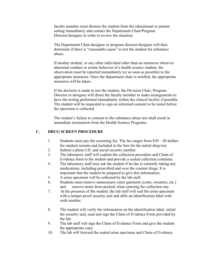faculty member must dismiss the student from the educational or patient setting immediately and contact the Department Chair/Program Director/designee in order to review the situation.

The Department Chair/designee or program director/designee will then determine if there is "reasonable cause" to test the student for substance abuse.

If another student, or any other individual other than an instructor observes abnormal conduct or erratic behavior of a health science student, the observation must be reported immediately (or as soon as possible) to the appropriate instructor. Once the department chair is notified, the appropriate measures will be taken.

If the decision is made to test the student, the Division Chair, Program Director or designee will direct the faculty member to make arrangements to have the testing performed immediately within the clinical facility if possible. The student will be requested to sign an informed consent to be tested before the specimen is collected.

The student's failure to consent to the substance abuse test shall result in immediate termination from the Health Science Programs.

## **C. DRUG SCREEN PROCEDURE**

- 1. Students must pay the screening fee. The fee ranges from \$30 40 dollars for random screens and included in the fees for the initial drug test.
- 2. Submit a photo I.D. and social security number.
- 3. The laboratory staff will explain the collection procedure and Chain of Evidence form to the student and provide a sealed collection container.
- 4. The laboratory staff may ask the student if he/she is currently taking any medications, including prescribed and over the counter drugs. It is important that the student be prepared to give this information.
- 5. A urine specimen will be collected by the lab staff.
- 6. Students must remove unnecessary outer garments (coats, sweaters, etc.) and remove items from pockets when entering the collection site.
- 7. In the presence of the student, the lab staff will seal the urine specimen with a tamper proof security seal and affix an identification label with code number.
- 8. The student will verify the information on the identification label, initial the security seal, read and sign the Chain of Evidence Form provided by the lab.
- 9. The lab staff will sign the Chain of Evidence Form and give the student the appropriate copy.
- 10. The lab will forward the sealed urine specimen and Chain of Evidence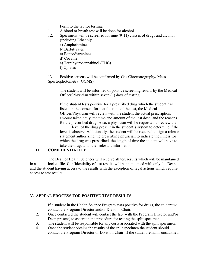Form to the lab for testing.

- 11. A blood or breath test will be done for alcohol.
- 12. Specimens will be screened for nine (9-11) classes of drugs and alcohol (including Ethanol):
	- a) Amphetamines
	- b) Barbiturates
	- c) Benzodiazepines
	- d) Cocaine
	- e) Tetrahydrocannabinol (THC)
	- f) Opiates

13. Positive screens will be confirmed by Gas Chromatography/ Mass Spectrophotometry (GCMS).

> The student will be informed of positive screening results by the Medical Officer/Physician within seven (7) days of testing.

> If the student tests positive for a prescribed drug which the student has listed on the consent form at the time of the test, the Medical Officer/Physician will review with the student the actual prescription, amount taken daily, the time and amount of the last dose, and the reasons for the prescribed drug. Also, a physician will be requested to review the

level of the drug present in the student's system to determine if the level is abusive. Additionally, the student will be required to sign a release statement authorizing the prescribing physician to indicate the illness for which the drug was prescribed, the length of time the student will have to take the drug, and other relevant information.

# **D. CONFIDENTIALITY**

The Dean of Health Sciences will receive all test results which will be maintained in a locked file. Confidentiality of test results will be maintained with only the Dean and the student having access to the results with the exception of legal actions which require access to test results.

# **V. APPEAL PROCESS FOR POSITIVE TEST RESULTS**

- 1. If a student in the Health Science Program tests positive for drugs, the student will contact the Program Director and/or Division Chair.
- 2. Once contacted the student will contact the lab (with the Program Director and/or Dean present) to ascertain the procedure for testing the split specimen.
- 3. The student will be responsible for any costs associated with the split specimen.
- 4. Once the student obtains the results of the split specimen the student should contact the Program Director or Division Chair. If the student remains unsatisfied,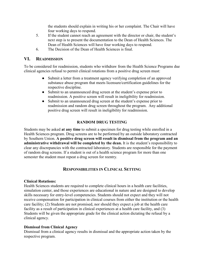the students should explain in writing his or her complaint. The Chair will have four working days to respond.

- 5. If the student cannot reach an agreement with the director or chair, the student's next step is to present the documentation to the Dean of Health Sciences. The Dean of Health Sciences will have four working days to respond.
- 6. The Decision of the Dean of Health Sciences is final.

## **VI. READMISSION**

To be considered for readmission, students who withdraw from the Health Science Programs due clinical agencies refusal to permit clinical rotations from a positive drug screen must:

- Submit a letter from a treatment agency verifying completion of an approved substance abuse program that meets licensure/certification guidelines for the respective discipline.
- Submit to an unannounced drug screen at the student's expense prior to readmission. A positive screen will result in ineligibility for readmission.
- Submit to an unannounced drug screen at the student's expense prior to readmission and random drug screen throughout the program. Any additional positive drug screen will result in ineligibility for readmission.

## **RANDOM DRUG TESTING**

Students may be asked **at any time** to submit a specimen for drug testing while enrolled in a Health Sciences program. Drug screens are to be performed by an outside laboratory contracted by Southern Union. **A positive drug screen will result in dismissal from the program and an administrative withdrawal will be completed by the dean.** It is the student's responsibility to clear any discrepancies with the contracted laboratory. Students are responsible for the payment of random drug screens. If a student is out of a health science program for more than one semester the student must repeat a drug screen for reentry.

## **RESPONSIBILITIES IN CLINICAL SETTING**

#### **Clinical Rotations:**

Health Sciences students are required to complete clinical hours in a health care facilities, simulation center, and those experiences are educational in nature and are designed to develop skills necessary for entry-level competencies. Students should not expect and they will not receive compensation for participation in clinical courses from either the institution or the health care facility; (2) Students are not promised, nor should they expect a job at the health care facility as a result of participation in clinical experiences at a health care facility, and (3) Students will be given the appropriate grade for the clinical action dictating the refusal by a clinical agency.

#### **Dismissal from Clinical Agency**

Dismissal from a clinical agency results in dismissal and the appropriate action taken by the respective program.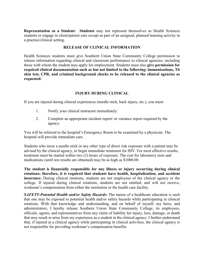**Representation as a Student:****Students** may not represent themselves as Health Sciences students or engage in client/patient care except as part of an assigned, planned learning activity in a practice/clinical setting.

#### **RELEASE OF CLINICAL INFORMATION**

Health Sciences students must give Southern Union State Community College permission to release information regarding clinical and classroom performance to clinical agencies, including those with whom the student may apply for employment. Students must also **give permission for required clinical documentation such as but not limited to the following: immunizations, Tb skin test, CPR, and criminal background checks to be released to the clinical agencies as requested.**

#### **INJURY DURING CLINICAL**

If you are injured during clinical experiences (needle stick, back injury, etc.), you must:

- 1. Notify your clinical instructor immediately.
- 2. Complete an appropriate incident report/ or variance report required by the agency.

You will be referred to the hospital's Emergency Room to be examined by a physician. The hospital will provide immediate care.

Students who incur a needle stick or any other type of direct risk exposure with a patient may be advised by the clinical agency, to begin immediate treatment for HIV. For most effective results, treatment must be started within two (2) hours of exposure. The cost for laboratory tests and medications (until test results are obtained) may be as high as \$1000.00.

**The student is financially responsible for any illness or injury occurring during clinical rotations; therefore, it is required that students have health, hospitalization, and accident insurance.** During clinical rotations, students are not employees of the clinical agency or the college. If injured during clinical rotations, students are not entitled, and will not receive, workman's compensation from either the institution or the health care facility.

*SAFETY-Potential Health and/or Safety Hazards:* The nature of a healthcare education is such that one may be exposed to potential health and/or safety hazards while participating in clinical rotations. With that knowledge and understanding, and on behalf of myself, my heirs, and administrators, I hereby release Southern Union State Community College, its employees, officials, agents, and representatives from any claim of liability for injury, loss, damage, or death that may result or arise from my experience as a student in the clinical agency. I further understand that, if injured at a clinical agency while participating in clinical activities, the clinical agency is not responsible for providing workman's compensation benefits.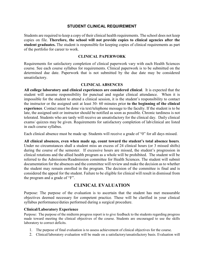## **STUDENT CLINICAL REQUIREMENT**

Students are required to keep a copy of their clinical health requirements. The school does not keep copies on file. **Therefore, the school will not provide copies to clinical agencies after the student graduates.** The student is responsible for keeping copies of clinical requirements as part of the portfolio for career to work.

#### **CLINICAL PAPERWORK**

Requirements for satisfactory completion of clinical paperwork vary with each Health Sciences course. See each course syllabus for requirements. Clinical paperwork is to be submitted on the determined due date. Paperwork that is not submitted by the due date may be considered unsatisfactory.

#### **CLINICAL ABSENCES**

**All college laboratory and clinical experiences are considered clinical**. It is expected that the student will assume responsibility for punctual and regular clinical attendance. When it is impossible for the student to attend a clinical session, it is the student's responsibility to contact the instructor or the assigned unit at least 30- 60 minutes prior **to the beginning of the clinical experience**. Contact must be done via text/telephone message to the faculty. If the student is to be late, the assigned unit or instructor should be notified as soon as possible. Chronic tardiness is not tolerated. Students who are tardy will receive an unsatisfactory for the clinical day. Daily clinical exams/ quizzes may be given. Requirements for satisfactory completion of lab/clinical are listed in each course syllabus.

Each clinical absence must be made up. Students will receive a grade of "0" for all days missed.

**All clinical absences, even when made up, count toward the student's total absence hours**. Under no circumstances shall a student miss an excess of 24 clinical hours (or 3 missed shifts) during the course of the semester. If excessive hours are missed, the student's progression in clinical rotations and the allied health program as a whole will be prohibited. The student will be referred to the Admissions/Readmission committee for Health Sciences. The student will submit documentation for the absences and the committee will review and make the decision as to whether the student may remain enrolled in the program. The decision of the committee is final and is considered the appeal for the student. Failure to be eligible for clinical will result in dismissal from the program and a grade of "F".

# **CLINICAL EVALUATION**

Purpose: The purpose of the evaluation is to ascertain that the student has met measurable objectives deemed necessary for competent practice. These will be clarified in your clinical syllabus performance/duties performed during a surgical procedure.

#### **Clinical/Laboratory Experience**

Purpose: The purpose of the midterm progress report is to give feedback to the students regarding progress made toward meeting the clinical objectives of the course. Students are encouraged to use the skills laboratory to correct deficits.

- 1. The purpose of final evaluation is to assess achievement of clinical objectives for the course.
- 2. Clinical/laboratory evaluation will be made on a satisfactory/unsatisfactory basis. Evaluation will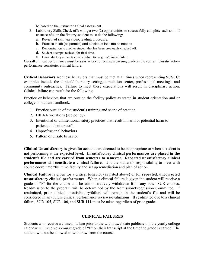be based on the instructor's final assessment.

- 3. Laboratory Skills Check-offs will get two (2) opportunities to successfully complete each skill. If unsuccessful on the first try, student must do the following:
	- a. Review of skill via video, reading procedure.
	- b. Practice in lab (as permits) and outside of lab time as needed
	- c. Demonstration to another student that has been previously checked off.
	- d. Student attempts recheck for final time.
	- e. Unsatisfactory attempts equals failure to progress/clinical failure.

Overall clinical performance must be satisfactory to receive a passing grade in the course. Unsatisfactory performance constitutes clinical failure.

**Critical Behaviors** are those behaviors that must be met at all times when representing SUSCC: examples include the clinical/laboratory setting, simulation center, professional meetings, and community outreaches. Failure to meet these expectations will result in disciplinary action. Clinical failure can result for the following:

Practice or behaviors that are outside the facility policy as stated in student orientation and or college or student handbook.

- 1. Practice outside of the student's training and scope of practice.
- 2. HIPAA violations (see policy).
- 3. Intentional or unintentional safety practices that result in harm or potential harm to patient, student or staff.
- 4. Unprofessional behaviors
- 5. Pattern of unsafe behavior

**Clinical Unsatisfactory** is given for acts that are deemed to be inappropriate or when a student is not performing at the expected level. **Unsatisfactory clinical performances are placed in the student's file and are carried from semester to semester. Repeated unsatisfactory clinical performance will constitute a clinical failure.** It is the student's responsibility to meet with course coordinator/full time faculty and set up remediation and plan of action.

**Clinical Failure** is given for a critical behavior (as listed above) or for **repeated, uncorrected unsatisfactory clinical performance**. When a clinical failure is given the student will receive a grade of "F" for the course and be administratively withdrawn from any other SUR courses. Readmission to the program will be determined by the Admission/Progression Committee. If readmitted, prior clinical unsatisfactory/failure will remain in the student's file and will be considered in any future clinical performance reviews/evaluations. If readmitted due to a clinical failure, SUR 105, SUR 106, and SUR 111 must be taken regardless of prior grades.

#### **CLINICAL FAILURES**

Students who receive a clinical failure prior to the withdrawal date published in the yearly college calendar will receive a course grade of "F" on their transcript at the time the grade is earned. The student will not be allowed to withdraw from the course.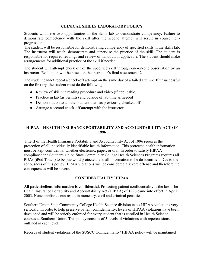## **CLINICAL SKILLS LABORATORY POLICY**

Students will have two opportunities in the skills lab to demonstrate competency. Failure to demonstrate competency with the skill after the second attempt will result in course nonprogression.

The student will be responsible for demonstrating competency of specified skills in the skills lab. The instructor will teach, demonstrate and supervise the practice of the skill. The student is responsible for required readings and review of handouts if applicable. The student should make arrangements for additional practice of the skill if needed.

The student will attempt check off of the specified skill through one-on-one observation by an instructor. Evaluation will be based on the instructor's final assessment. 2

The student cannot repeat a check-off attempt on the same day of a failed attempt. If unsuccessful on the first try, the student must do the following:

- Review of skill via reading procedure and video (if applicable)
- Practice in lab (as permits) and outside of lab time as needed
- Demonstration to another student that has previously checked off
- Arrange a second check-off attempt with the instructor.

## **HIPAA – HEALTH INSURANCE PORTABILITY AND ACCOUNTABILITY ACT OF 1996**

Title II of the Health Insurance Portability and Accountability Act of 1996 requires the protection of all individually identifiable health information. This protected health information must be kept confidential whether electronic, paper, or oral. In order to satisfy HIPAA compliance the Southern Union State Community College Health Sciences Programs requires all PDAs (iPod Touch) to be password protected, and all information to be de-identified. Due to the seriousness of this policy HIPAA violations will be considered a severe offense and therefore the consequences will be severe.

## **CONFIDENTIALITY/ HIPAA**

**All patient/client information is confidential**. Protecting patient confidentiality is the law. The Health Insurance Portability and Accountability Act (HIPAA) of 1996 came into effect in April 2003. Noncompliance can result in monetary, civil and criminal penalties.

Southern Union State Community College Health Science division takes HIPAA violations very seriously. In order to help preserve patient confidentiality, levels of HIPAA violations have been developed and will be strictly enforced for every student that is enrolled in Health Science courses at Southern Union. This policy consists of 3 levels of violations with repercussions outlined in each level.

Records of student violations of the SUSCC Confidentiality/ HIPAA policy will be maintained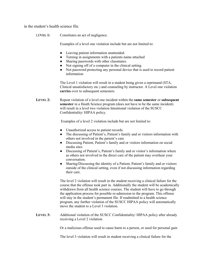in the student's health science file.

LEVEL 1: Constitutes an act of negligence.

Examples of a level one violation include but are not limited to:

- Leaving patient information unattended.
- Turning in assignments with a patients name attached
- Sharing passwords with other classmates.
- Not signing off of a computer in the clinical setting.
- Not password protecting any personal device that is used to record patient information

The Level 1 violation will result in a student being given a reprimand (STA, Clinical unsatisfactory etc.) and counseling by instructor. A Level one violation **carries** over to subsequent semesters.

**LEVEL 2:** Repeat violation of a level one incident within the **same semester** or **subsequent semester** in a Heath Science program (does not have to be the same incident) will result in a level two violation Intentional violation of the SUSCC Confidentiality/ HIPAA policy.

Examples of a level 2 violation include but are not limited to:

- Unauthorized access to patient records.
- The discussing of Patient's, Patient's family and or visitors information with others not involved in the patient's care
- Discussing Patient, Patient's family and or visitors information on social media sites
- Discussing of Patient's, Patient's family and or visitor's information where as others not involved in the direct care of the patient may overhear your conversation.
- Sharing/Discussing the identity of a Patient, Patient's family and or visitors outside of the clinical setting, even if not discussing information regarding their care.

The level 2 violation will result in the student receiving a clinical failure for the course that the offense took part in. Additionally the student will be academically withdrawn from all health science courses. The student will have to go through the application process for possible re-admission to the program. This offense will stay in the student's permanent file. If readmitted to a health science program, any further violation of the SUSCC HIPAA policy will automatically move the student to a Level 3 violation.

LEVEL 3: Additional violation of the SUSCC Confidentiality/ HIPAA policy after already receiving a Level 2 violation.

Or a malicious offense used to cause harm to a person, or used for personal gain

The level 3 violation will result in student receiving a clinical failure for the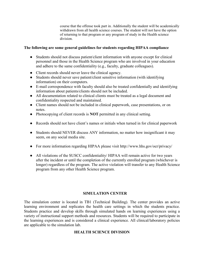course that the offense took part in. Additionally the student will be academically withdrawn from all health science courses. The student will not have the option of returning to that program or any program of study in the Health science division.

#### **The following are some general guidelines for students regarding HIPAA compliance**

- Students should not discuss patient/client information with anyone except for clinical personnel and those in the Health Science program who are involved in your education and adhere to the same confidentiality (e.g., faculty, graduate colleagues).
- Client records should never leave the clinical agency.
- Students should never save patient/client sensitive information (with identifying information) on their computers.
- E-mail correspondence with faculty should also be treated confidentially and identifying information about patients/clients should not be included.
- All documentation related to clinical clients must be treated as a legal document and confidentiality respected and maintained.
- Client names should not be included in clinical paperwork, case presentations, or on notes.
- Photocopying of client records is **NOT** permitted in any clinical setting.
- Records should not have client's names or initials when turned in for clinical paperwork
- Students should NEVER discuss ANY information, no matter how insignificant it may seem, on any social media site.
- For more information regarding HIPAA please visit http://www.hhs.gov/ocr/privacy/
- All violations of the SUSCC confidentiality/ HIPAA will remain active for two years after the incident or until the completion of the currently enrolled program (whichever is longer) regardless of the program. The active violation will transfer to any Health Science program from any other Health Science program.

## **SIMULATION CENTER**

The simulation center is located in TB1 (Technical Building). The center provides an active learning environment and replicates the health care settings in which the students practice. Students practice and develop skills through simulated hands on learning experiences using a variety of instructional support methods and resources. Students will be required to participate in the learning experiences and is considered a clinical experience. All clinical/laboratory policies are applicable to the simulation lab.

## **HEALTH SCIENCE DIVISION**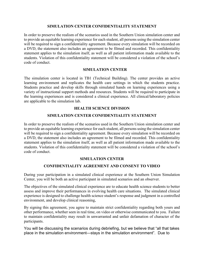#### **SIMULATION CENTER CONFIDENTIALITY STATEMENT**

In order to preserve the realism of the scenarios used in the Southern Union simulation center and to provide an equitable learning experience for each student, all persons using the simulation center will be required to sign a confidentiality agreement. Because every simulation will be recorded on a DVD, the statement also includes an agreement to be filmed and recorded. This confidentiality statement applies to the simulation itself, as well as all patient information made available to the students. Violation of this confidentiality statement will be considered a violation of the school's code of conduct.

#### **SIMULATION CENTER**

The simulation center is located in TB1 (Technical Building). The center provides an active learning environment and replicates the health care settings in which the students practice. Students practice and develop skills through simulated hands on learning experiences using a variety of instructional support methods and resources. Students will be required to participate in the learning experiences and is considered a clinical experience. All clinical/laboratory policies are applicable to the simulation lab.

#### **HEALTH SCIENCE DIVISION**

#### **SIMULATION CENTER CONFIDENTIALITY STATEMENT**

In order to preserve the realism of the scenarios used in the Southern Union simulation center and to provide an equitable learning experience for each student, all persons using the simulation center will be required to sign a confidentiality agreement. Because every simulation will be recorded on a DVD, the statement also includes an agreement to be filmed and recorded. This confidentiality statement applies to the simulation itself, as well as all patient information made available to the students. Violation of this confidentiality statement will be considered a violation of the school's code of conduct.

## **SIMULATION CENTER**

## **CONFIDENTIALITY AGREEMENT AND CONSENT TO VIDEO**

During your participation in a simulated clinical experience at the Southern Union Simulation Center, you will be both an active participant in simulated scenarios and an observer.

The objectives of the simulated clinical experience are to educate health science students to better assess and improve their performances in evolving health care situations. The simulated clinical experience is designed to challenge health science student's response and judgment in a controlled environment, and develop clinical reasoning,

By signing this agreement, you agree to maintain strict confidentiality regarding both yours and other performance, whether seen in real time, on video or otherwise communicated to you. Failure to maintain confidentiality may result in unwarranted and unfair defamation of character of the participants.

You will be discussing the scenarios during debriefing, but we believe that "all that takes place in the simulation environment—stays in the simulation environment". Due to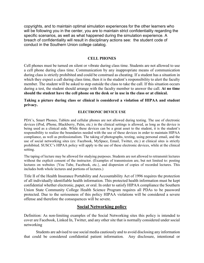copyrights, and to maintain optimal simulation experiences for the other learners who will be following you in the center, you are to maintain strict confidentiality regarding the specific scenarios, as well as what happened during the simulation experience. A breach of confidentiality will result in disciplinary actions see: the student code of conduct in the Southern Union college catalog.

#### **CELL PHONES**

Cell phones must be turned on silent or vibrate during class time. Students are not allowed to use a cell phone during class time. Communication by any inappropriate means of communication during class is strictly prohibited and could be construed as cheating. If a student has a situation in which they expect a call during class time, then it is the student's responsibility to alert the faculty member. The student will be asked to step outside the class to take the call. If this situation occurs during a test, the student should arrange with the faculty member to answer the call. **At no time should the student have the cell phone on the desk or in use in the class or at clinical.**

**Taking a picture during class or clinical is considered a violation of HIPAA and student privacy.**

#### **ELECTRONIC DEVICE USE**

PDA's, Smart Phones, Tablets and cellular phones are not allowed during testing. The use of electronic devices (iPod, iPhone, Blackberry, Palm, etc.) in the clinical settings is allowed, as long as the device is being used as a clinical aide. While these devices can be a great asset to the student, it is the student's responsibility to realize the boundaries needed with the use of these devices in order to maintain HIPAA compliance, as well as professionalism. The taking of photographs, texting, using personal email, and the use of social networking sites (ex: Facebook, MySpace, Email, Twitter, etc.) at clinical sites is strictly prohibited. SUSCC's HIPAA policy will apply to the use of these electronic devices, while at the clinical setting.

The taping of lecture may be allowed for studying purposes. Students are not allowed to retransmit lectures without the explicit consent of the instructor. (Examples of transmission are, but not limited to: posting lectures on websites {You Tube, Facebook, etc.}, and dispersion of copies of recorded lectures. This includes both whole lectures and portions of lectures.)

Title II of the Health Insurance Portability and Accountability Act of 1996 requires the protection of all individually identifiable health information. This protected health information must be kept confidential whether electronic, paper, or oral. In order to satisfy HIPAA compliance the Southern Union State Community College Health Science Program requires all PDAs to be password protected. Due to the seriousness of this policy HIPAA violations will be considered a severe offense and therefore the consequences will be severe.

# **Social Networking policy**

Definition: As non-limiting examples of the Social Networking sites this policy is intended to cover are Facebook, Linked In, Twitter, and any other site that is normally considered under social networking

Students are advised to use social media cautiously and to avoid disclosing any information that could be considered confidential patient information. Any disclosure, intentional or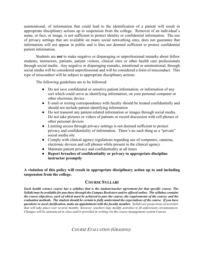unintentional, of information that could lead to the identification of a patient will result in appropriate disciplinary actions up to suspension from the college. Removal of an individual's name, or face, or image, is not sufficient to protect identity or confidential information. The use of privacy settings that are available on many social networking sites, does not guarantee that information will not appear in public and is thus not deemed sufficient to protect confidential patient information.

Students are **not** to make negative or disparaging or unprofessional remarks about fellow students, instructors, patients, patient visitors, clinical sites or other health care professionals through social media. Any negative or disparaging remarks, intentional or unintentional, through social media will be considered unprofessional and will be considered a form of misconduct. This type of misconduct will be subject to appropriate disciplinary actions.

The following guidelines are to be followed:

- Do not save confidential or sensitive patient information, or information of any sort which could serve as identifying information, on your personal computer or other electronic device
- E-mail or texting correspondence with faculty should be treated confidentially and should not include patient identifying information
- Do not transmit any patient-related information or images through social media. Do not take pictures or videos of patients or record discussion with cell phones or other personal devices
- Limiting access through privacy settings is not deemed sufficient to protect privacy and confidentiality of information. There's no such thing as a "private" social media site
- Comply with clinical agency regulations regarding use of computers, cameras, electronic devices and cell phones while present in the clinical agency
- Maintain patient privacy and confidentiality at all times
- **Report breaches of confidentiality or privacy to appropriate discipline instructor promptly**

**A violation of this policy will result in appropriate disciplinary action up to and including suspension from the college.** 

# **COURSE SYLLABI**

*Each health science course has a syllabus that is the student-teacher agreement for that specific course. The Syllabi may be available for purchase through the Campus Bookstore and/or offered online. The syllabus contains the course objectives, each of which must be achieved to pass the course; the requirements of the course; and the evaluation methods. The student should be certain to fully understand the expectations of the course. If you have questions or need clarification, make an appointment with the faculty member. Syllabi are projections of activities that will take place over several months; however, teachers may modify activities to fit unforeseen circumstances. Changes will be announced in class and/or provided in writing via the course management system Canvas.*

*COURSE EVALUATION (GRADING)*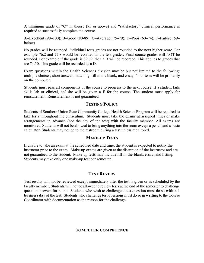A minimum grade of "C" in theory (75 or above) and "satisfactory" clinical performance is required to successfully complete the course.

A=Excellent (90–100); B=Good (80-89); C=Average (75–79); D=Poor (60–74); F=Failure (59– below)

No grades will be rounded. Individual tests grades are not rounded to the next higher score. For example 76.2 and 77.8 would be recorded as the test grades. Final course grades will NOT be rounded. For example if the grade is 89.69, then a B will be recorded. This applies to grades that are 74.50. This grade will be recorded as a D.

Exam questions within the Health Sciences division may be but not limited to the following: multiple choices, short answer, matching, fill in the blank, and essay. Your tests will be primarily on the computer.

Students must pass all components of the course to progress to the next course. If a student fails skills lab or clinical, he/ she will be given a F for the course. The student must apply for reinstatement. Reinstatement is not guaranteed.

## **TESTING POLICY**

Students of Southern Union State Community College Health Science Program will be required to take tests throughout the curriculum. Students must take the exams at assigned times or make arrangements in advance (not the day of the test) with the faculty member. All exams are monitored. Students will not be allowed to bring anything into the room except a pencil and a basic calculator. Students may not go to the restroom during a test unless monitored.

## **MAKE-UP TESTS**

If unable to take an exam at the scheduled date and time, the student is expected to notify the instructor prior to the exam. Make-up exams are given at the discretion of the instructor and are not guaranteed to the student. Make-up tests may include fill-in-the-blank, essay, and listing. Students may take only one make-up test per semester.

# **TEST REVIEW**

Test results will not be reviewed except immediately after the test is given or as scheduled by the faculty member. Students will not be allowed to review tests at the end of the semester to challenge question answers for points. Students who wish to challenge a test question must do so **within 1 business day** of the test. Students who challenge test questions must do so in **writing** to the Course Coordinator with documentation as the reason for the challenge.

# **COMPUTER COMPETENCE**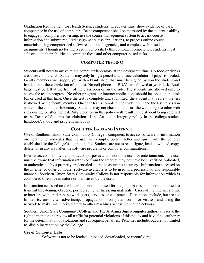Graduation Requirement for Health Science students: Graduates must show evidence of basic competence in the use of computers. Basic competence shall be measured by the student's ability to engage in computerized testing, use the course management system to access course information and submit required assignments, use applications, to process online course materials, using computerized software at clinical agencies, and complete web-based assignments. Though no testing is required to satisfy this computer competency, students must self-evaluate their abilities to complete these and other computer-based tasks.

#### **COMPUTER TESTING**

Students will need to arrive at the computer laboratory at the designated time. No food or drinks are allowed in the lab. Students may only bring a pencil and a basic calculator. If paper is needed, faculty members will supply you with a blank sheet that must be signed by you the student and handed in at the completion of the test. No cell phones or PDA's are allowed at your desk. Book bags must be left at the front of the classroom or on the side. The students are allowed only to access the test in progress. No other programs or internet applications should be open on the task bar or used at this time. Once the test is complete and submitted, the student may review the test if allowed by the faculty member. Once the test is complete, the student will end the testing session and exit the computer laboratory. Students may not check email, surf the web, or go to other web sites during, or after the test. **Any** violation in this policy will result in the student being referred to the Dean of Students for violation of the Academic Integrity policy in the college student handbook/catalog and program handbook.

## **COMPUTER LABS AND INTERNET**

Use of Southern Union State Community College's computers to access software or information on the Internet indicates that the user will comply, both in letter and spirit, with the policies established for the College's computer labs. Students are not to reconfigure, load, download, copy, delete, or in any way alter the software programs or computer configurations.

Internet access is limited to instruction purposes and is not to be used for entertainment. The user must be aware that information retrieved from the Internet may not have been verified, validated, or authenticated by a properly credentialed source to assure its accuracy. Information accessed on the Internet or other computer software available is to be used in a professional and responsible manner. Southern Union State Community College is not responsible for information which is considered offensive in nature or is misused by the user.

Information accessed on the Internet is not to be used for illegal purposes and is not to be used to transmit threatening, obscene, pornographic, or harassing materials. Users of the Internet are not to interfere with or disrupt network users, services, or equipment. Disruptions include, but are not limited to, unsolicited advertising, propagation of computer worms or viruses, and using the network to make unauthorized entry to other machines accessible via the network.

Southern Union State Community College and The Alabama Supercomputer authority reserve the right to monitor and review all traffic for potential violations of this policy and have final authority for the determination of violations and subsequent penalties. Penalties include, but are not limited to, disciplinary action by the College.

#### **Use of Computer Labs**

1. Software is not to be loaded, unloaded, downloaded, or reconfigured.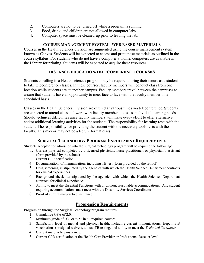- 2. Computers are not to be turned off while a program is running.
- 3. Food, drink, and children are not allowed in computer labs.
- 4. Computer space must be cleaned-up prior to leaving the lab.

## **COURSE MANAGEMENT SYSTEM - WEB BASED MATERIALS**

Courses in the Health Sciences division are augmented using the course management system known as Canvas. Students will be expected to access and print these materials as outlined in the course syllabus. For students who do not have a computer at home, computers are available in the Library for printing. Students will be expected to acquire these resources.

## **DISTANCE EDUCATION/TELECONFERENCE COURSES**

Students enrolling in a Health sciences program may be required during their tenure as a student to take teleconference classes. In these courses, faculty members will conduct class from one location while students are at another campus. Faculty members travel between the campuses to assure that students have an opportunity to meet face to face with the faculty member on a scheduled basis.

Classes in the Health Sciences Division are offered at various times via teleconference. Students are expected to attend class and work with faculty members to assess individual learning needs. Should technical difficulties arise faculty members will make every effort to offer alternative and/or additional learning activities for the students. The responsibility for learning rests with the student. The responsibility for providing the student with the necessary tools rests with the faculty. This may or may not be a lecture format class.

## **SURGICAL TECHNOLOGY PROGRAM ENROLLMENT REQUIREMENTS**

Students accepted for admission into the surgical technology program will be required the following:

- 1. Current physical completed by a licensed physician, nurse practitioner, or physician's assistant (form provided by the school)
- 2. Current CPR certification
- 4. Documentation of immunizations including TB test (form provided by the school)
- 5. Drug screening as stipulated by the agencies with which the Health Science Department contracts for clinical experiences.
- 6. Background checks as stipulated by the agencies with which the Health Sciences Department contracts for clinical experiences.
- 7. Ability to meet the Essential Functions with or without reasonable accommodations. Any student requiring accommodations must meet with the Disability Services Coordinator.
- 8. Proof of current malpractice insurance

# **Progression Requirements**

Progression through the Surgical Technology program requires

- 1. Cumulative GPA of 2.0.
- 2. Minimum grade of "C" or "75" in all required courses.
- 3. Satisfactory level of mental and physical health, including current immunizations, Hepatitis B vaccinations (or signed waiver), annual TB testing, and ability to meet the *Technical Standards*.
- 4. Current malpractice insurance.
- 5. Current CPR certification at the Health Care Provider or Professional Rescuer level.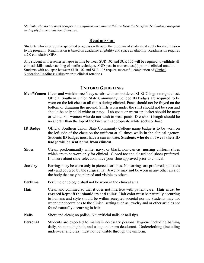*Students who do not meet progression requirements must withdraw from the Surgical Technology program and apply for readmission if desired.*

## **Readmission**

Students who interrupt the specified progression through the program of study must apply for readmission to the program. Readmission is based on academic eligibility and space availability. Readmission requires a 2.0 cumulative GPA.

Any student with a semester lapse in time between SUR 102 and SUR 105 will be required to **validate** all clinical skills, understanding of sterile technique, AND pass instrument test(s) prior to clinical rotation. Students with no lapse between SUR 102 and SUR 105 require successful completion of Clinical Validation/Readiness Skills prior to clinical rotations.

## **UNIFORM GUIDELINES**

- **Men/Women** Clean and wrinkle-free Navy scrubs with embroidered SUSCC logo on right chest. Official Southern Union State Community College ID badges are required to be worn on the left chest at all times during clinical. Pants should not be frayed on the bottom or dragging the ground. Shirts worn under the shirt should not be seen and should be only solid white or navy. Lab coats or warm-up jacket should be navy or white. For women who do not wish to wear pants: Dress/skirt length should be no shorter than the top of the knee with appropriate white socks or hose.
- **ID Badge** Official Southern Union State Community College name badge is to be worn on the left side of the chest on the uniform at all times while in the clinical agency. Students ID badges must have a current date. **Students who do not wear their ID badge will be sent home from clinical**.
- **Shoes** Clean, predominantly white, navy, or black, non-canvas, nursing uniform shoes which are to be worn only for clinical. Closed toe and closed heel shoes preferred. If unsure about shoe selection, have your shoe approved prior to clinical.
- **Jewelry** Earrings may be worn only in pierced earlobes. No earrings are preferred, but studs only and covered by the surgical hat. Jewelry may **not** be worn in any other area of the body that may be pierced and visible to others.
- **Perfume** Perfume or cologne shall not be worn in the clinical area.
- **Hair** Clean and confined so that it does not interfere with patient care. **Hair must be covered kept off the shoulders and collar.** Hair color must be naturally occurring to humans and style should be within accepted societal norms. Students may not wear hair decorations to the clinical setting such as jewelry and or other articles not found naturally occurring in hair.
- **Nails** Short and clean; no polish. No artificial nails or nail tips.
- **Personal** Students are expected to maintain necessary personal hygiene including bathing daily, shampooing hair, and using underarm deodorant. Underclothing (including underwear and bras) must not be visible through the uniform.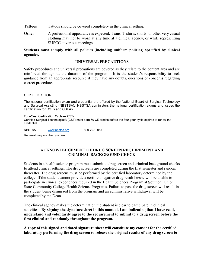- **Tattoos** Tattoos should be covered completely in the clinical setting.
- **Other** A professional appearance is expected. Jeans, T-shirts, shorts, or other very casual clothing may not be worn at any time at a clinical agency, or while representing SUSCC at various meetings.

#### **Students must comply with all policies (including uniform policies) specified by clinical agencies.**

#### **UNIVERSAL PRECAUTIONS**

**S**afety procedures and universal precautions are covered as they relate to the content area and are reinforced throughout the duration of the program. It is the student's responsibility to seek guidance from an appropriate resource if they have any doubts, questions or concerns regarding correct procedure.

#### CERTIFICATION

The national certification exam and credential are offered by the National Board of Surgical Technology and Surgical Assisting (NBSTSA). NBSTSA administers the national certification exams and issues the certification for CSTs and CSFAs.

Four-Year Certification Cycle — CSTs Certified Surgical Technologist® (CST) must earn 60 CE credits before the four-year cycle expires to renew the credential.

NBSTSA [www.nbstsa.org](http://www.nbstsa.org/) 800.707.0057 Renewal may also be by exam.

# **ACKNOWLEDGEMENT OF DRUG SCREEN REQUIREMENT AND CRIMINAL BACKGROUND CHECK**

Students in a health science program must submit to drug screen and criminal background checks to attend clinical settings. The drug screens are completed during the first semester and random thereafter. The drug screens must be performed by the certified laboratory determined by the college. If the student cannot provide a certified negative drug result he/she will be unable to participate in clinical experiences required in the Health Sciences Program at Southern Union State Community College Health Science Programs. Failure to pass the drug screen will result in the student being dismissed from the program and an administrative withdrawal will be completed by the Dean.

The clinical agency makes the determination the student is clear to participate in clinical activities. **By signing the signature sheet in this manual, I am indicating that I have read, understand and voluntarily agree to the requirement to submit to a drug screen before the first clinical and randomly throughout the program.** 

**A copy of this signed and dated signature sheet will constitute my consent for the certified laboratory performing the drug screen to release the original results of any drug screen to**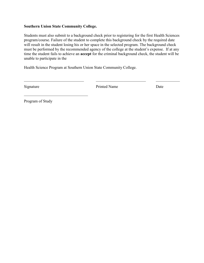#### **Southern Union State Community College.**

 $\mathcal{L}_\text{max}$  , which is a set of the set of the set of the set of the set of the set of the set of the set of the set of the set of the set of the set of the set of the set of the set of the set of the set of the set of

Students must also submit to a background check prior to registering for the first Health Sciences program/course. Failure of the student to complete this background check by the required date will result in the student losing his or her space in the selected program. The background check must be performed by the recommended agency of the college at the student's expense. If at any time the student fails to achieve an **accept** for the criminal background check, the student will be unable to participate in the

 $\_$  ,  $\_$  ,  $\_$  ,  $\_$  ,  $\_$  ,  $\_$  ,  $\_$  ,  $\_$  ,  $\_$  ,  $\_$  ,  $\_$  ,  $\_$  ,  $\_$  ,  $\_$  ,  $\_$  ,  $\_$  ,  $\_$  ,  $\_$  ,  $\_$  ,  $\_$  ,  $\_$  ,  $\_$  ,  $\_$  ,  $\_$  ,  $\_$  ,  $\_$  ,  $\_$  ,  $\_$  ,  $\_$  ,  $\_$  ,  $\_$  ,  $\_$  ,  $\_$  ,  $\_$  ,  $\_$  ,  $\_$  ,  $\_$  ,

Health Science Program at Southern Union State Community College.

Signature Date Printed Name Date

Program of Study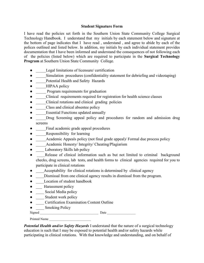#### **Student Signature Form**

I have read the policies set forth in the Southern Union State Community College Surgical Technology Handbook. I understand that my initials by each statement below and signature at the bottom of page indicates that I have read , understand , and agree to abide by each of the polices outlined and listed below. In addition, my initials by each individual statement provides documentation that I have been informed and understand the consequences of not following each of the policies (listed below) which are required to participate in the **Surgical Technology Program** at Southern Union State Community College.

- Legal limitations of licensure/ certification
- Simulation procedures (confidentiality statement for debriefing and videotaping)
- Potential Health and Safety Hazards
- HIPAA policy
- Program requirements for graduation
- Clinical requirements required for registration for health science classes
- Clinical rotations and clinical grading policies
- Class and clinical absentee policy
- **Essential Functions updated annually**
- Drug Screening appeal policy and procedures for random and admission drug screens
- \_\_\_\_\_Final academic grade appeal procedures
- **EXECUTE:** Responsibility for learning
- \_\_\_\_\_Academic Appeals policy (not final grade appeal)/ Formal due process policy
- Academic Honesty/ Integrity/ Cheating/Plagiarism
- Laboratory Skills lab policy
- Release of clinical information such as but not limited to criminal background checks, drug screens, lab tests, and health forms to clinical agencies required for you to participate in clinical rotations
- \_\_\_\_Acceptability for clinical rotations is determined by clinical agency
- \_\_\_\_Dismissal from one clinical agency results in dismissal from the program.
- \_\_\_\_Location of student handbook
- <del>\_\_</del> Harassment policy
- Social Media policy
- \_\_\_\_\_\_ Student work policy
- **Certification Examination Content Outline**
- Smoking Policy

 $Signed$  Date

Printed Name

*Potential Health and/or Safety Hazards* I understand that the nature of a surgical technology education is such that I may be exposed to potential health and/or safety hazards while participating in clinical rotations. With that knowledge and understanding, and on behalf of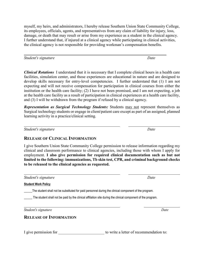myself, my heirs, and administrators, I hereby release Southern Union State Community College, its employees, officials, agents, and representatives from any claim of liability for injury, loss, damage, or death that may result or arise from my experience as a student in the clinical agency. I further understand that, if injured at a clinical agency while participating in clinical activities, the clinical agency is not responsible for providing workman's compensation benefits.

*Student's signature Date*

*Clinical Rotations* I understand that it is necessary that I complete clinical hours in a health care facilities, simulation center, and those experiences are educational in nature and are designed to develop skills necessary for entry-level competencies. I further understand that (1) I am not expecting and will not receive compensation for participation in clinical courses from either the institution or the health care facility; (2) I have not been promised, and I am not expecting, a job at the health care facility as a result of participation in clinical experiences at a health care facility, and (3) I will be withdrawn from the program if refused by a clinical agency.

*Representation as Surgical Technology Students:* Students may not represent themselves as Surgical technology students or engage in client/patient care except as part of an assigned, planned learning activity in a practice/clinical setting.

*Student's signature* Date

# **RELEASE OF CLINICAL INFORMATION**

I give Southern Union State Community College permission to release information regarding my clinical and classroom performance to clinical agencies, including those with whom I apply for employment. **I also give permission for required clinical documentation such as but not limited to the following: immunizations, Tb skin test, CPR, and criminal background checks to be released to the clinical agencies as requested.**

*Student's signature Date*

**Student Work Policy** 

The student shall not be substituted for paid personnel during the clinical component of the program.

\_\_\_\_\_ The student shall not be paid by the clinical affiliation site during the clinical component of the program.

*Student's signature Date*

# **RELEASE OF INFORMATION**

I give permission for the same state of recommendation to:

 $\overline{\phantom{a}}$  , where  $\overline{\phantom{a}}$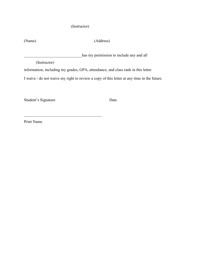# (Instructor)

(Name) (Address)

has my permission to include any and all

(Instructor)

information, including my grades, GPA, attendance, and class rank in this letter.

I waive / do not waive my right to review a copy of this letter at any time in the future.

Student's Signature Date

\_\_\_\_\_\_\_\_\_\_\_\_\_\_\_\_\_\_\_\_\_\_\_\_\_\_\_\_\_\_\_\_\_\_\_\_\_\_\_

Print Name